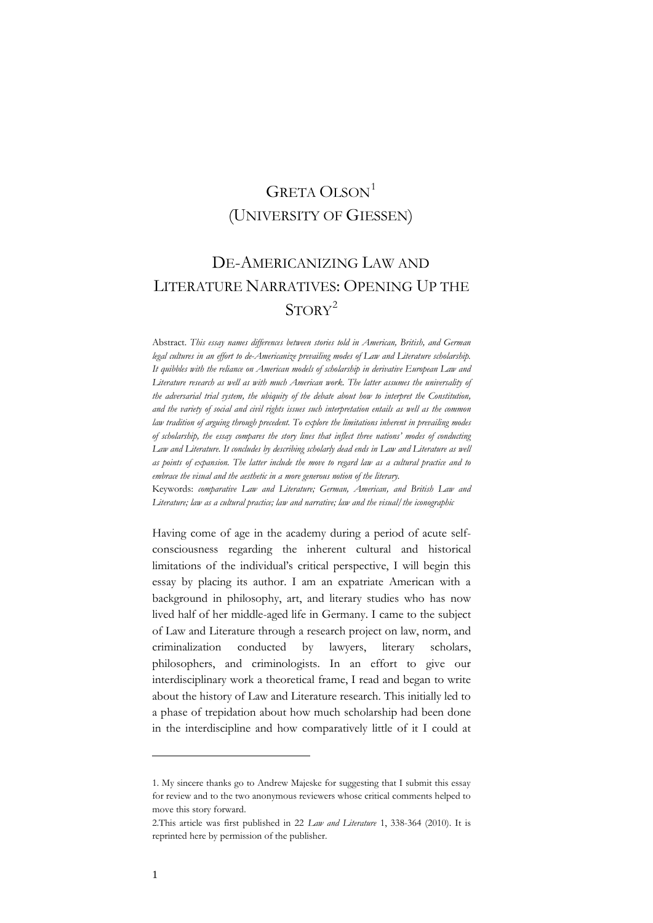## GRETA OLSON<sup>[1](#page-0-0)</sup> (UNIVERSITY OF GIESSEN)

# DE-AMERICANIZING LAW AND LITERATURE NARRATIVES: OPENING UP THE STORY<sup>[2](#page-0-1)</sup>

Abstract. *This essay names differences between stories told in American, British, and German legal cultures in an effort to de-Americanize prevailing modes of Law and Literature scholarship. It quibbles with the reliance on American models of scholarship in derivative European Law and Literature research as well as with much American work. The latter assumes the universality of the adversarial trial system, the ubiquity of the debate about how to interpret the Constitution, and the variety of social and civil rights issues such interpretation entails as well as the common law tradition of arguing through precedent. To explore the limitations inherent in prevailing modes of scholarship, the essay compares the story lines that inflect three nations' modes of conducting*  Law and Literature. It concludes by describing scholarly dead ends in Law and Literature as well *as points of expansion. The latter include the move to regard law as a cultural practice and to embrace the visual and the aesthetic in a more generous notion of the literary.*

Keywords: *comparative Law and Literature; German, American, and British Law and Literature; law as a cultural practice; law and narrative; law and the visual/the iconographic*

Having come of age in the academy during a period of acute selfconsciousness regarding the inherent cultural and historical limitations of the individual's critical perspective, I will begin this essay by placing its author. I am an expatriate American with a background in philosophy, art, and literary studies who has now lived half of her middle-aged life in Germany. I came to the subject of Law and Literature through a research project on law, norm, and criminalization conducted by lawyers, literary scholars, philosophers, and criminologists. In an effort to give our interdisciplinary work a theoretical frame, I read and began to write about the history of Law and Literature research. This initially led to a phase of trepidation about how much scholarship had been done in the interdiscipline and how comparatively little of it I could at

<span id="page-0-0"></span><sup>1.</sup> My sincere thanks go to Andrew Majeske for suggesting that I submit this essay for review and to the two anonymous reviewers whose critical comments helped to move this story forward.

<span id="page-0-1"></span><sup>2.</sup>This article was first published in 22 *Law and Literature* 1, 338-364 (2010). It is reprinted here by permission of the publisher.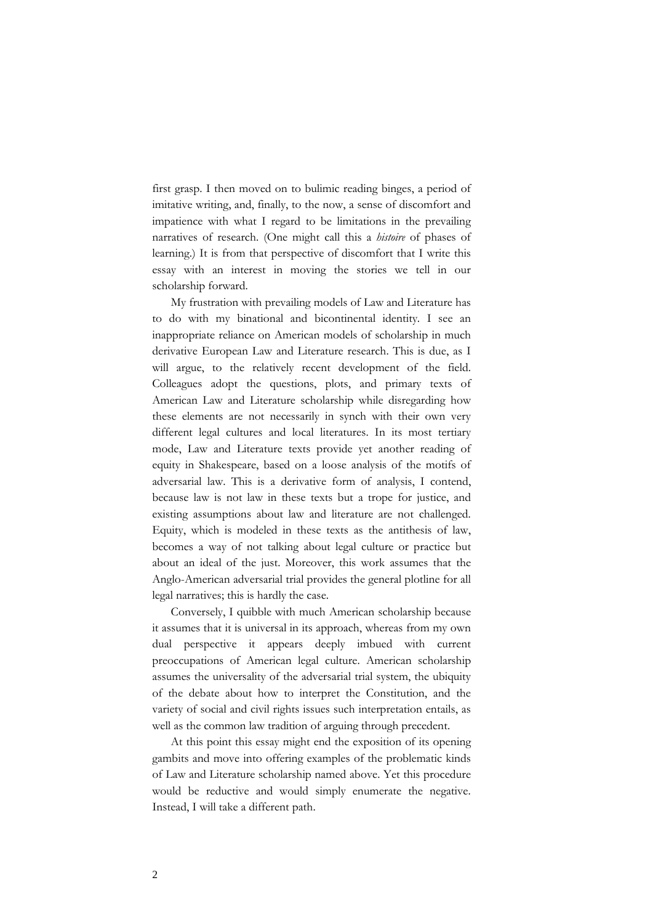first grasp. I then moved on to bulimic reading binges, a period of imitative writing, and, finally, to the now, a sense of discomfort and impatience with what I regard to be limitations in the prevailing narratives of research. (One might call this a *histoire* of phases of learning.) It is from that perspective of discomfort that I write this essay with an interest in moving the stories we tell in our scholarship forward.

My frustration with prevailing models of Law and Literature has to do with my binational and bicontinental identity. I see an inappropriate reliance on American models of scholarship in much derivative European Law and Literature research. This is due, as I will argue, to the relatively recent development of the field. Colleagues adopt the questions, plots, and primary texts of American Law and Literature scholarship while disregarding how these elements are not necessarily in synch with their own very different legal cultures and local literatures. In its most tertiary mode, Law and Literature texts provide yet another reading of equity in Shakespeare, based on a loose analysis of the motifs of adversarial law. This is a derivative form of analysis, I contend, because law is not law in these texts but a trope for justice, and existing assumptions about law and literature are not challenged. Equity, which is modeled in these texts as the antithesis of law, becomes a way of not talking about legal culture or practice but about an ideal of the just. Moreover, this work assumes that the Anglo-American adversarial trial provides the general plotline for all legal narratives; this is hardly the case.

Conversely, I quibble with much American scholarship because it assumes that it is universal in its approach, whereas from my own dual perspective it appears deeply imbued with current preoccupations of American legal culture. American scholarship assumes the universality of the adversarial trial system, the ubiquity of the debate about how to interpret the Constitution, and the variety of social and civil rights issues such interpretation entails, as well as the common law tradition of arguing through precedent.

At this point this essay might end the exposition of its opening gambits and move into offering examples of the problematic kinds of Law and Literature scholarship named above. Yet this procedure would be reductive and would simply enumerate the negative. Instead, I will take a different path.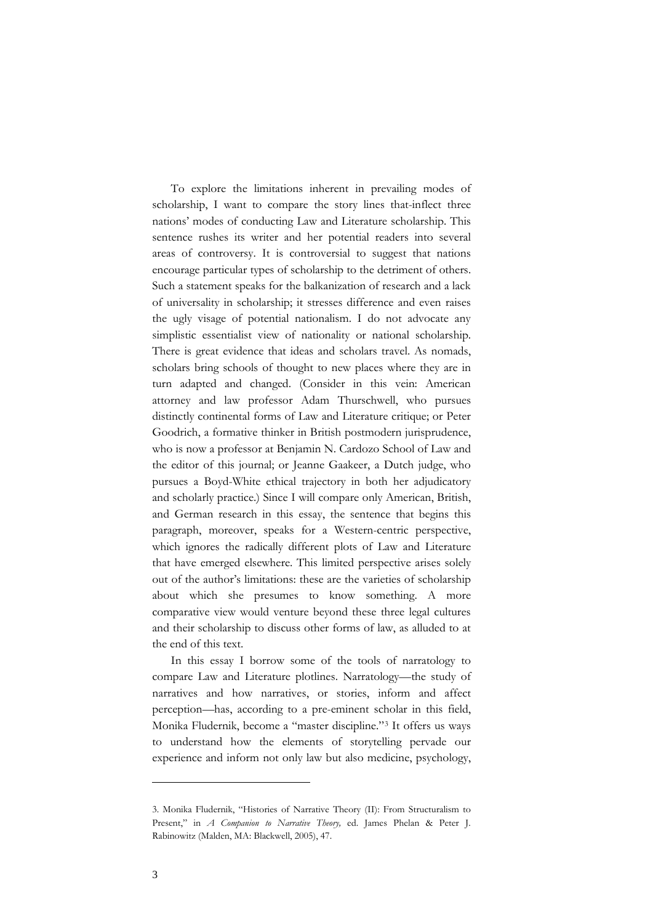To explore the limitations inherent in prevailing modes of scholarship, I want to compare the story lines that-inflect three nations' modes of conducting Law and Literature scholarship. This sentence rushes its writer and her potential readers into several areas of controversy. It is controversial to suggest that nations encourage particular types of scholarship to the detriment of others. Such a statement speaks for the balkanization of research and a lack of universality in scholarship; it stresses difference and even raises the ugly visage of potential nationalism. I do not advocate any simplistic essentialist view of nationality or national scholarship. There is great evidence that ideas and scholars travel. As nomads, scholars bring schools of thought to new places where they are in turn adapted and changed. (Consider in this vein: American attorney and law professor Adam Thurschwell, who pursues distinctly continental forms of Law and Literature critique; or Peter Goodrich, a formative thinker in British postmodern jurisprudence, who is now a professor at Benjamin N. Cardozo School of Law and the editor of this journal; or Jeanne Gaakeer, a Dutch judge, who pursues a Boyd-White ethical trajectory in both her adjudicatory and scholarly practice.) Since I will compare only American, British, and German research in this essay, the sentence that begins this paragraph, moreover, speaks for a Western-centric perspective, which ignores the radically different plots of Law and Literature that have emerged elsewhere. This limited perspective arises solely out of the author's limitations: these are the varieties of scholarship about which she presumes to know something. A more comparative view would venture beyond these three legal cultures and their scholarship to discuss other forms of law, as alluded to at the end of this text.

In this essay I borrow some of the tools of narratology to compare Law and Literature plotlines. Narratology—the study of narratives and how narratives, or stories, inform and affect perception—has, according to a pre-eminent scholar in this field, Monika Fludernik, become a "master discipline."[3](#page-2-0) It offers us ways to understand how the elements of storytelling pervade our experience and inform not only law but also medicine, psychology,

<span id="page-2-0"></span><sup>3.</sup> Monika Fludernik, "Histories of Narrative Theory (II): From Structuralism to Present," in *A Companion to Narrative Theory,* ed. James Phelan & Peter J. Rabinowitz (Malden, MA: Blackwell, 2005), 47.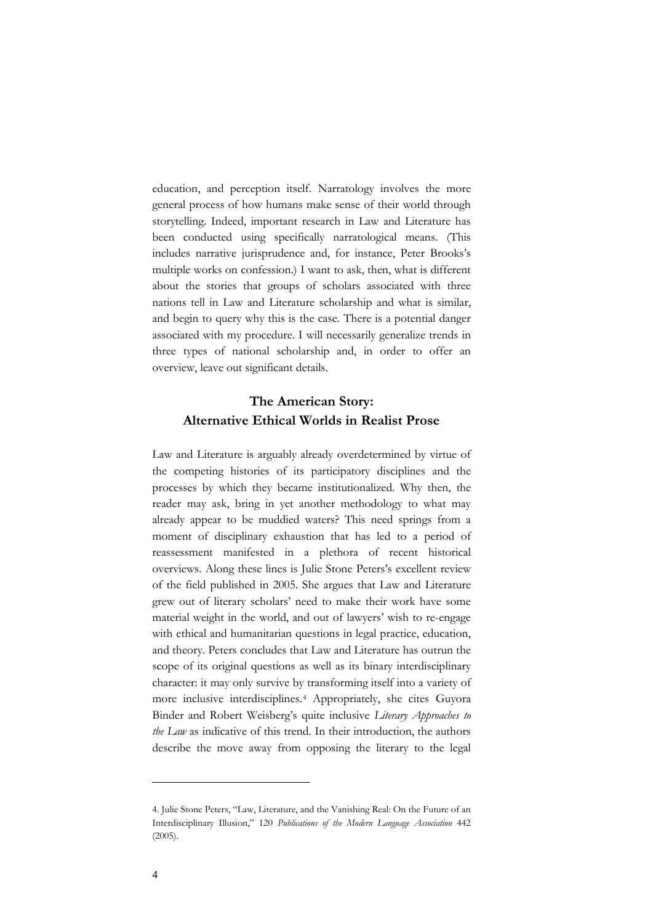education, and perception itself. Narratology involves the more general process of how humans make sense of their world through storytelling. Indeed, important research in Law and Literature has been conducted using specifically narratological means. (This includes narrative jurisprudence and, for instance, Peter Brooks's multiple works on confession.) I want to ask, then, what is different about the stories that groups of scholars associated with three nations tell in Law and Literature scholarship and what is similar, and begin to query why this is the case. There is a potential danger associated with my procedure. I will necessarily generalize trends in three types of national scholarship and, in order to offer an overview, leave out significant details.

## **The American Story: Alternative Ethical Worlds in Realist Prose**

Law and Literature is arguably already overdetermined by virtue of the competing histories of its participatory disciplines and the processes by which they became institutionalized. Why then, the reader may ask, bring in yet another methodology to what may already appear to be muddied waters? This need springs from a moment of disciplinary exhaustion that has led to a period of reassessment manifested in a plethora of recent historical overviews. Along these lines is Julie Stone Peters's excellent review of the field published in 2005. She argues that Law and Literature grew out of literary scholars' need to make their work have some material weight in the world, and out of lawyers' wish to re-engage with ethical and humanitarian questions in legal practice, education, and theory. Peters concludes that Law and Literature has outrun the scope of its original questions as well as its binary interdisciplinary character: it may only survive by transforming itself into a variety of more inclusive interdisciplines.[4](#page-3-0) Appropriately, she cites Guyora Binder and Robert Weisberg's quite inclusive *Literary Approaches to the Law* as indicative of this trend. In their introduction, the authors describe the move away from opposing the literary to the legal

<span id="page-3-0"></span><sup>4.</sup> Julie Stone Peters, "Law, Literature, and the Vanishing Real: On the Future of an Interdisciplinary Illusion," 120 *Publications of the Modern Language Association* 442 (2005).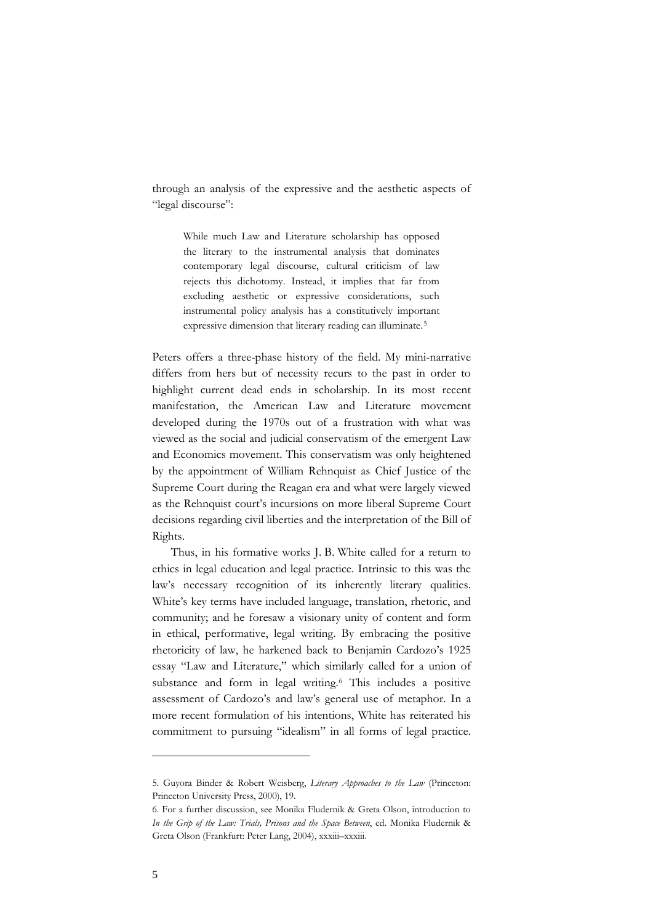through an analysis of the expressive and the aesthetic aspects of "legal discourse":

While much Law and Literature scholarship has opposed the literary to the instrumental analysis that dominates contemporary legal discourse, cultural criticism of law rejects this dichotomy. Instead, it implies that far from excluding aesthetic or expressive considerations, such instrumental policy analysis has a constitutively important expressive dimension that literary reading can illuminate.<sup>[5](#page-4-0)</sup>

Peters offers a three-phase history of the field. My mini-narrative differs from hers but of necessity recurs to the past in order to highlight current dead ends in scholarship. In its most recent manifestation, the American Law and Literature movement developed during the 1970s out of a frustration with what was viewed as the social and judicial conservatism of the emergent Law and Economics movement. This conservatism was only heightened by the appointment of William Rehnquist as Chief Justice of the Supreme Court during the Reagan era and what were largely viewed as the Rehnquist court's incursions on more liberal Supreme Court decisions regarding civil liberties and the interpretation of the Bill of Rights.

Thus, in his formative works J. B. White called for a return to ethics in legal education and legal practice. Intrinsic to this was the law's necessary recognition of its inherently literary qualities. White's key terms have included language, translation, rhetoric, and community; and he foresaw a visionary unity of content and form in ethical, performative, legal writing. By embracing the positive rhetoricity of law, he harkened back to Benjamin Cardozo's 1925 essay "Law and Literature," which similarly called for a union of substance and form in legal writing.<sup>[6](#page-4-1)</sup> This includes a positive assessment of Cardozo's and law's general use of metaphor. In a more recent formulation of his intentions, White has reiterated his commitment to pursuing "idealism" in all forms of legal practice.

<span id="page-4-0"></span><sup>5.</sup> Guyora Binder & Robert Weisberg, *Literary Approaches to the Law* (Princeton: Princeton University Press, 2000), 19.

<span id="page-4-1"></span><sup>6.</sup> For a further discussion, see Monika Fludernik & Greta Olson, introduction to *In the Grip of the Law: Trials, Prisons and the Space Between*, ed. Monika Fludernik & Greta Olson (Frankfurt: Peter Lang, 2004), xxxiii–xxxiii.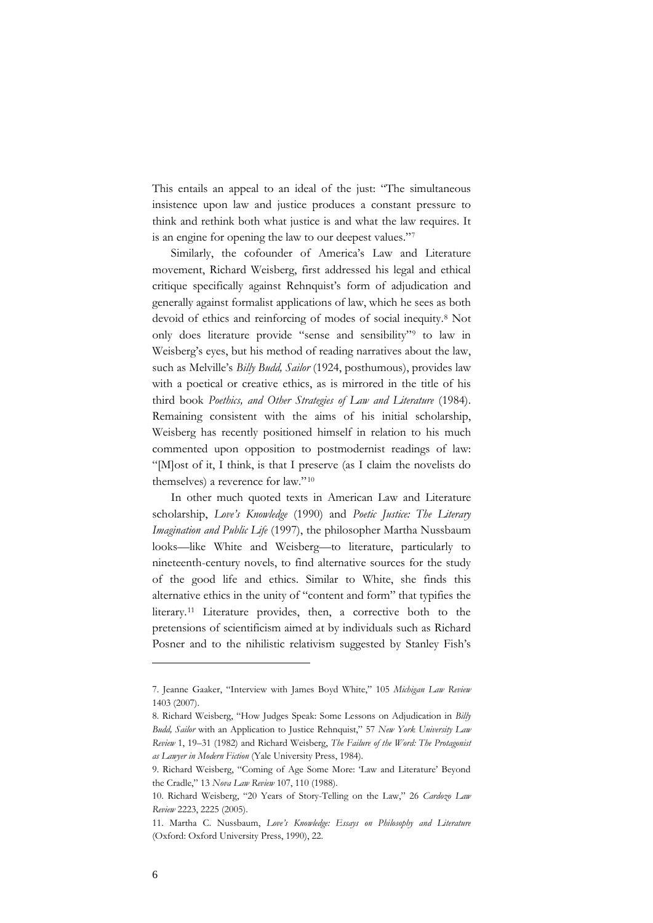This entails an appeal to an ideal of the just: "The simultaneous insistence upon law and justice produces a constant pressure to think and rethink both what justice is and what the law requires. It is an engine for opening the law to our deepest values.["7](#page-5-0)

Similarly, the cofounder of America's Law and Literature movement, Richard Weisberg, first addressed his legal and ethical critique specifically against Rehnquist's form of adjudication and generally against formalist applications of law, which he sees as both devoid of ethics and reinforcing of modes of social inequity.[8](#page-5-1) Not only does literature provide "sense and sensibility"[9](#page-5-2) to law in Weisberg's eyes, but his method of reading narratives about the law, such as Melville's *Billy Budd, Sailor* (1924, posthumous), provides law with a poetical or creative ethics, as is mirrored in the title of his third book *Poethics, and Other Strategies of Law and Literature* (1984). Remaining consistent with the aims of his initial scholarship, Weisberg has recently positioned himself in relation to his much commented upon opposition to postmodernist readings of law: "[M]ost of it, I think, is that I preserve (as I claim the novelists do themselves) a reverence for law."[10](#page-5-3)

In other much quoted texts in American Law and Literature scholarship, *Love's Knowledge* (1990) and *Poetic Justice: The Literary Imagination and Public Life* (1997), the philosopher Martha Nussbaum looks—like White and Weisberg—to literature, particularly to nineteenth-century novels, to find alternative sources for the study of the good life and ethics. Similar to White, she finds this alternative ethics in the unity of "content and form" that typifies the literary.[11](#page-5-4) Literature provides, then, a corrective both to the pretensions of scientificism aimed at by individuals such as Richard Posner and to the nihilistic relativism suggested by Stanley Fish's

<span id="page-5-0"></span><sup>7.</sup> Jeanne Gaaker, "Interview with James Boyd White," 105 *Michigan Law Review* 1403 (2007).

<span id="page-5-1"></span><sup>8.</sup> Richard Weisberg, "How Judges Speak: Some Lessons on Adjudication in *Billy Budd, Sailor* with an Application to Justice Rehnquist," 57 *New York University Law Review* 1, 19–31 (1982) and Richard Weisberg, *The Failure of the Word: The Protagonist as Lawyer in Modern Fiction* (Yale University Press, 1984).

<span id="page-5-2"></span><sup>9.</sup> Richard Weisberg, "Coming of Age Some More: 'Law and Literature' Beyond the Cradle," 13 *Nova Law Review* 107, 110 (1988).

<span id="page-5-3"></span><sup>10.</sup> Richard Weisberg, "20 Years of Story-Telling on the Law," 26 *Cardozo Law Review* 2223, 2225 (2005).

<span id="page-5-4"></span><sup>11.</sup> Martha C. Nussbaum, *Love's Knowledge: Essays on Philosophy and Literature*  (Oxford: Oxford University Press, 1990), 22.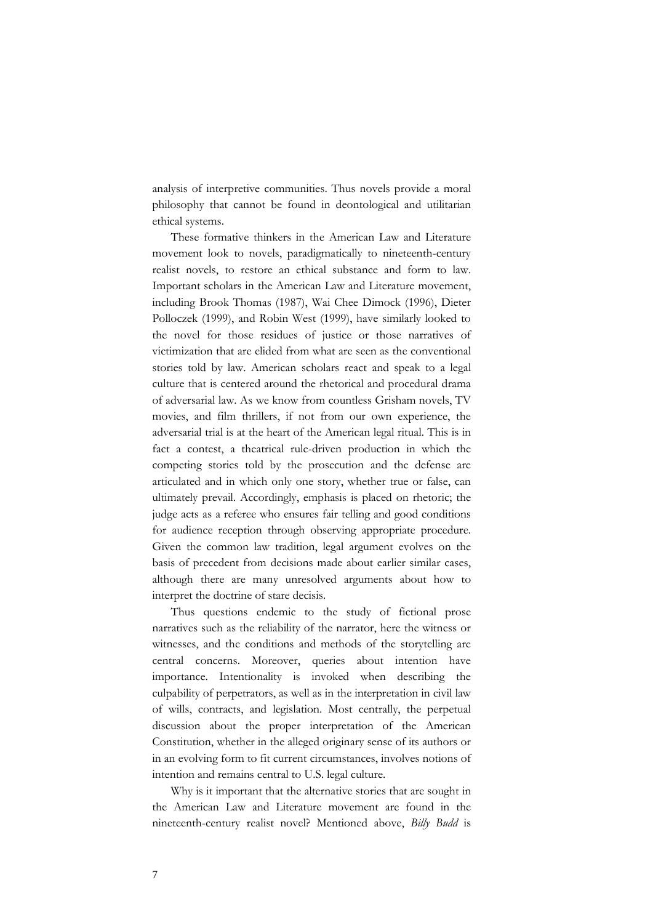analysis of interpretive communities. Thus novels provide a moral philosophy that cannot be found in deontological and utilitarian ethical systems.

These formative thinkers in the American Law and Literature movement look to novels, paradigmatically to nineteenth-century realist novels, to restore an ethical substance and form to law. Important scholars in the American Law and Literature movement, including Brook Thomas (1987), Wai Chee Dimock (1996), Dieter Polloczek (1999), and Robin West (1999), have similarly looked to the novel for those residues of justice or those narratives of victimization that are elided from what are seen as the conventional stories told by law. American scholars react and speak to a legal culture that is centered around the rhetorical and procedural drama of adversarial law. As we know from countless Grisham novels, TV movies, and film thrillers, if not from our own experience, the adversarial trial is at the heart of the American legal ritual. This is in fact a contest, a theatrical rule-driven production in which the competing stories told by the prosecution and the defense are articulated and in which only one story, whether true or false, can ultimately prevail. Accordingly, emphasis is placed on rhetoric; the judge acts as a referee who ensures fair telling and good conditions for audience reception through observing appropriate procedure. Given the common law tradition, legal argument evolves on the basis of precedent from decisions made about earlier similar cases, although there are many unresolved arguments about how to interpret the doctrine of stare decisis.

Thus questions endemic to the study of fictional prose narratives such as the reliability of the narrator, here the witness or witnesses, and the conditions and methods of the storytelling are central concerns. Moreover, queries about intention have importance. Intentionality is invoked when describing the culpability of perpetrators, as well as in the interpretation in civil law of wills, contracts, and legislation. Most centrally, the perpetual discussion about the proper interpretation of the American Constitution, whether in the alleged originary sense of its authors or in an evolving form to fit current circumstances, involves notions of intention and remains central to U.S. legal culture.

Why is it important that the alternative stories that are sought in the American Law and Literature movement are found in the nineteenth-century realist novel? Mentioned above, *Billy Budd* is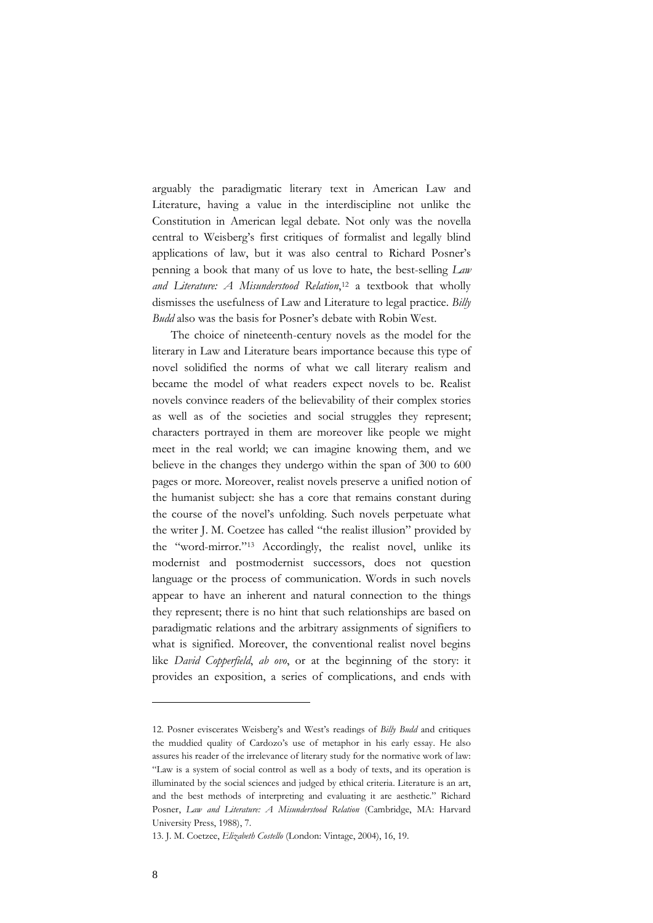arguably the paradigmatic literary text in American Law and Literature, having a value in the interdiscipline not unlike the Constitution in American legal debate. Not only was the novella central to Weisberg's first critiques of formalist and legally blind applications of law, but it was also central to Richard Posner's penning a book that many of us love to hate, the best-selling *Law*  and Literature: A Misunderstood Relation,<sup>[12](#page-7-0)</sup> a textbook that wholly dismisses the usefulness of Law and Literature to legal practice. *Billy Budd* also was the basis for Posner's debate with Robin West.

The choice of nineteenth-century novels as the model for the literary in Law and Literature bears importance because this type of novel solidified the norms of what we call literary realism and became the model of what readers expect novels to be. Realist novels convince readers of the believability of their complex stories as well as of the societies and social struggles they represent; characters portrayed in them are moreover like people we might meet in the real world; we can imagine knowing them, and we believe in the changes they undergo within the span of 300 to 600 pages or more. Moreover, realist novels preserve a unified notion of the humanist subject: she has a core that remains constant during the course of the novel's unfolding. Such novels perpetuate what the writer J. M. Coetzee has called "the realist illusion" provided by the "word-mirror." [13](#page-7-1) Accordingly, the realist novel, unlike its modernist and postmodernist successors, does not question language or the process of communication. Words in such novels appear to have an inherent and natural connection to the things they represent; there is no hint that such relationships are based on paradigmatic relations and the arbitrary assignments of signifiers to what is signified. Moreover, the conventional realist novel begins like *David Copperfield*, *ab ovo*, or at the beginning of the story: it provides an exposition, a series of complications, and ends with

<span id="page-7-0"></span><sup>12.</sup> Posner eviscerates Weisberg's and West's readings of *Billy Budd* and critiques the muddied quality of Cardozo's use of metaphor in his early essay. He also assures his reader of the irrelevance of literary study for the normative work of law: "Law is a system of social control as well as a body of texts, and its operation is illuminated by the social sciences and judged by ethical criteria. Literature is an art, and the best methods of interpreting and evaluating it are aesthetic." Richard Posner, *Law and Literature: A Misunderstood Relation* (Cambridge, MA: Harvard University Press, 1988), 7.

<span id="page-7-1"></span><sup>13.</sup> J. M. Coetzee, *Elizabeth Costello* (London: Vintage, 2004), 16, 19.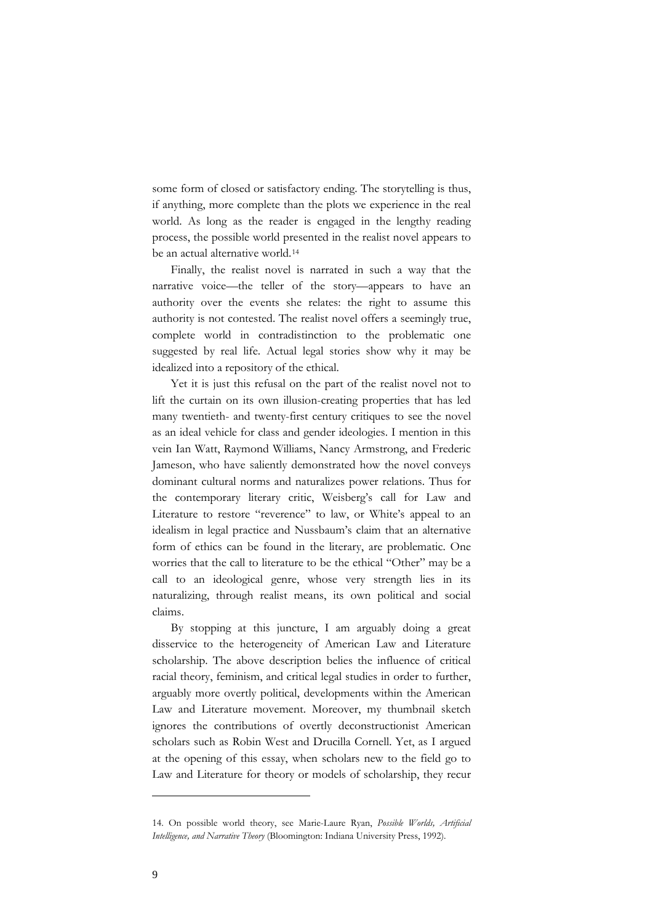some form of closed or satisfactory ending. The storytelling is thus, if anything, more complete than the plots we experience in the real world. As long as the reader is engaged in the lengthy reading process, the possible world presented in the realist novel appears to be an actual alternative world.[14](#page-8-0)

Finally, the realist novel is narrated in such a way that the narrative voice—the teller of the story—appears to have an authority over the events she relates: the right to assume this authority is not contested. The realist novel offers a seemingly true, complete world in contradistinction to the problematic one suggested by real life. Actual legal stories show why it may be idealized into a repository of the ethical.

Yet it is just this refusal on the part of the realist novel not to lift the curtain on its own illusion-creating properties that has led many twentieth- and twenty-first century critiques to see the novel as an ideal vehicle for class and gender ideologies. I mention in this vein Ian Watt, Raymond Williams, Nancy Armstrong, and Frederic Jameson, who have saliently demonstrated how the novel conveys dominant cultural norms and naturalizes power relations. Thus for the contemporary literary critic, Weisberg's call for Law and Literature to restore "reverence" to law, or White's appeal to an idealism in legal practice and Nussbaum's claim that an alternative form of ethics can be found in the literary, are problematic. One worries that the call to literature to be the ethical "Other" may be a call to an ideological genre, whose very strength lies in its naturalizing, through realist means, its own political and social claims.

By stopping at this juncture, I am arguably doing a great disservice to the heterogeneity of American Law and Literature scholarship. The above description belies the influence of critical racial theory, feminism, and critical legal studies in order to further, arguably more overtly political, developments within the American Law and Literature movement. Moreover, my thumbnail sketch ignores the contributions of overtly deconstructionist American scholars such as Robin West and Drucilla Cornell. Yet, as I argued at the opening of this essay, when scholars new to the field go to Law and Literature for theory or models of scholarship, they recur

<span id="page-8-0"></span><sup>14.</sup> On possible world theory, see Marie-Laure Ryan, *Possible Worlds, Artificial Intelligence, and Narrative Theory* (Bloomington: Indiana University Press, 1992).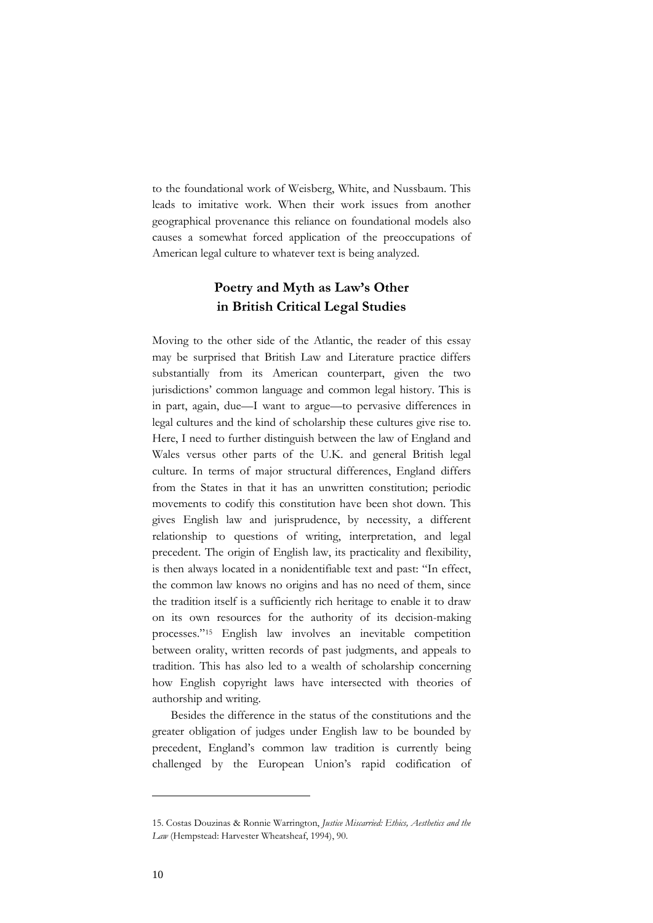to the foundational work of Weisberg, White, and Nussbaum. This leads to imitative work. When their work issues from another geographical provenance this reliance on foundational models also causes a somewhat forced application of the preoccupations of American legal culture to whatever text is being analyzed.

### **Poetry and Myth as Law's Other in British Critical Legal Studies**

Moving to the other side of the Atlantic, the reader of this essay may be surprised that British Law and Literature practice differs substantially from its American counterpart, given the two jurisdictions' common language and common legal history. This is in part, again, due—I want to argue—to pervasive differences in legal cultures and the kind of scholarship these cultures give rise to. Here, I need to further distinguish between the law of England and Wales versus other parts of the U.K. and general British legal culture. In terms of major structural differences, England differs from the States in that it has an unwritten constitution; periodic movements to codify this constitution have been shot down. This gives English law and jurisprudence, by necessity, a different relationship to questions of writing, interpretation, and legal precedent. The origin of English law, its practicality and flexibility, is then always located in a nonidentifiable text and past: "In effect, the common law knows no origins and has no need of them, since the tradition itself is a sufficiently rich heritage to enable it to draw on its own resources for the authority of its decision-making processes.["15](#page-9-0) English law involves an inevitable competition between orality, written records of past judgments, and appeals to tradition. This has also led to a wealth of scholarship concerning how English copyright laws have intersected with theories of authorship and writing.

Besides the difference in the status of the constitutions and the greater obligation of judges under English law to be bounded by precedent, England's common law tradition is currently being challenged by the European Union's rapid codification of

<span id="page-9-0"></span><sup>15.</sup> Costas Douzinas & Ronnie Warrington, *Justice Miscarried: Ethics, Aesthetics and the Law* (Hempstead: Harvester Wheatsheaf, 1994), 90.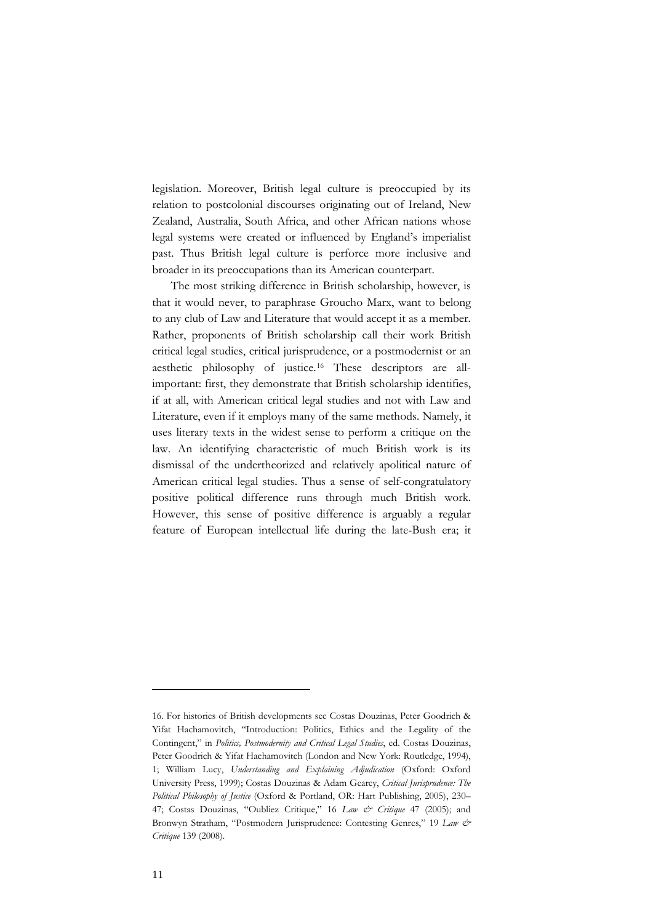legislation. Moreover, British legal culture is preoccupied by its relation to postcolonial discourses originating out of Ireland, New Zealand, Australia, South Africa, and other African nations whose legal systems were created or influenced by England's imperialist past. Thus British legal culture is perforce more inclusive and broader in its preoccupations than its American counterpart.

The most striking difference in British scholarship, however, is that it would never, to paraphrase Groucho Marx, want to belong to any club of Law and Literature that would accept it as a member. Rather, proponents of British scholarship call their work British critical legal studies, critical jurisprudence, or a postmodernist or an aesthetic philosophy of justice.[16](#page-10-0) These descriptors are allimportant: first, they demonstrate that British scholarship identifies, if at all, with American critical legal studies and not with Law and Literature, even if it employs many of the same methods. Namely, it uses literary texts in the widest sense to perform a critique on the law. An identifying characteristic of much British work is its dismissal of the undertheorized and relatively apolitical nature of American critical legal studies. Thus a sense of self-congratulatory positive political difference runs through much British work. However, this sense of positive difference is arguably a regular feature of European intellectual life during the late-Bush era; it

<span id="page-10-0"></span><sup>16.</sup> For histories of British developments see Costas Douzinas, Peter Goodrich & Yifat Hachamovitch, "Introduction: Politics, Ethics and the Legality of the Contingent," in *Politics, Postmodernity and Critical Legal Studies*, ed. Costas Douzinas, Peter Goodrich & Yifat Hachamovitch (London and New York: Routledge, 1994), 1; William Lucy, *Understanding and Explaining Adjudication* (Oxford: Oxford University Press, 1999); Costas Douzinas & Adam Gearey, *Critical Jurisprudence: The Political Philosophy of Justice* (Oxford & Portland, OR: Hart Publishing, 2005), 230– 47; Costas Douzinas, "Oubliez Critique," 16 *Law & Critique* 47 (2005); and Bronwyn Stratham, "Postmodern Jurisprudence: Contesting Genres," 19 *Law & Critique* 139 (2008).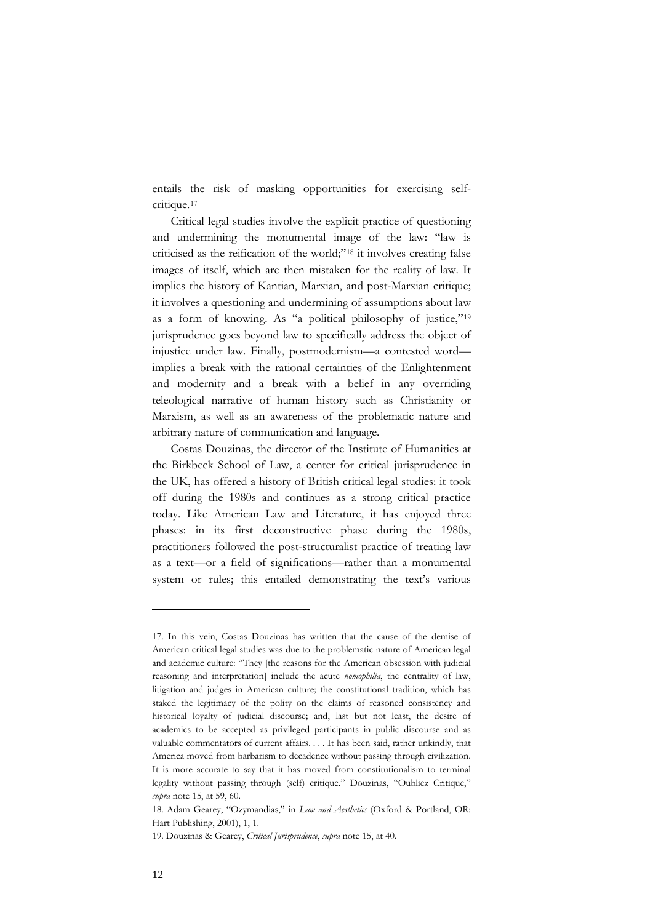entails the risk of masking opportunities for exercising selfcritique.[17](#page-11-0)

Critical legal studies involve the explicit practice of questioning and undermining the monumental image of the law: "law is criticised as the reification of the world;"[18](#page-11-1) it involves creating false images of itself, which are then mistaken for the reality of law. It implies the history of Kantian, Marxian, and post-Marxian critique; it involves a questioning and undermining of assumptions about law as a form of knowing. As "a political philosophy of justice,"[19](#page-11-2) jurisprudence goes beyond law to specifically address the object of injustice under law. Finally, postmodernism—a contested word implies a break with the rational certainties of the Enlightenment and modernity and a break with a belief in any overriding teleological narrative of human history such as Christianity or Marxism, as well as an awareness of the problematic nature and arbitrary nature of communication and language.

Costas Douzinas, the director of the Institute of Humanities at the Birkbeck School of Law, a center for critical jurisprudence in the UK, has offered a history of British critical legal studies: it took off during the 1980s and continues as a strong critical practice today. Like American Law and Literature, it has enjoyed three phases: in its first deconstructive phase during the 1980s, practitioners followed the post-structuralist practice of treating law as a text—or a field of significations—rather than a monumental system or rules; this entailed demonstrating the text's various

<span id="page-11-0"></span><sup>17.</sup> In this vein, Costas Douzinas has written that the cause of the demise of American critical legal studies was due to the problematic nature of American legal and academic culture: "They [the reasons for the American obsession with judicial reasoning and interpretation] include the acute *nomophilia*, the centrality of law, litigation and judges in American culture; the constitutional tradition, which has staked the legitimacy of the polity on the claims of reasoned consistency and historical loyalty of judicial discourse; and, last but not least, the desire of academics to be accepted as privileged participants in public discourse and as valuable commentators of current affairs. . . . It has been said, rather unkindly, that America moved from barbarism to decadence without passing through civilization. It is more accurate to say that it has moved from constitutionalism to terminal legality without passing through (self) critique." Douzinas, "Oubliez Critique," *supra* note 15, at 59, 60.

<span id="page-11-1"></span><sup>18.</sup> Adam Gearey, "Ozymandias," in *Law and Aesthetics* (Oxford & Portland, OR: Hart Publishing, 2001), 1, 1.

<span id="page-11-2"></span><sup>19.</sup> Douzinas & Gearey, *Critical Jurisprudence*, *supra* note 15, at 40.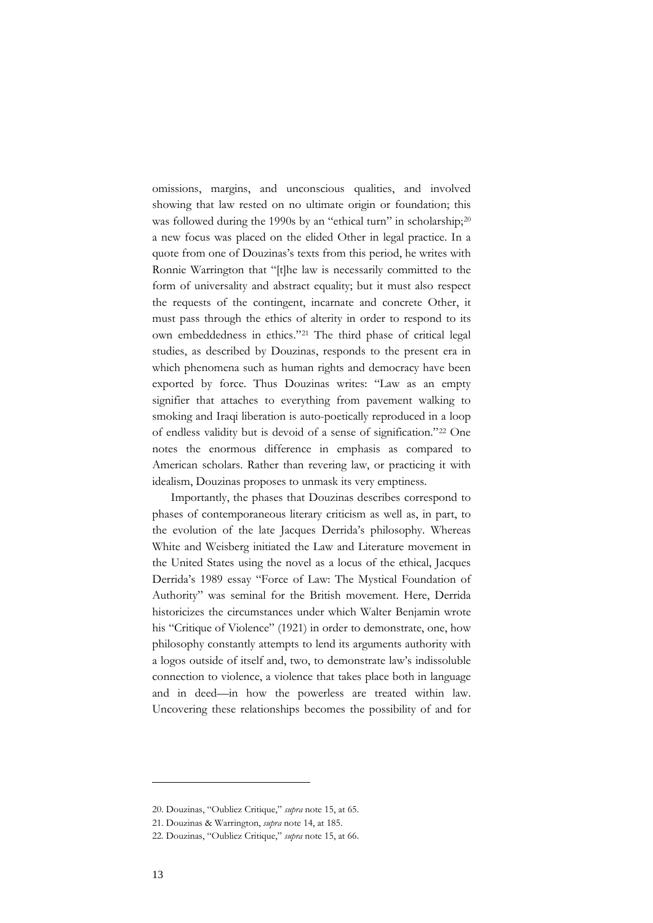omissions, margins, and unconscious qualities, and involved showing that law rested on no ultimate origin or foundation; this was followed during the 1990s by an "ethical turn" in scholarship;<sup>[20](#page-12-0)</sup> a new focus was placed on the elided Other in legal practice. In a quote from one of Douzinas's texts from this period, he writes with Ronnie Warrington that "[t]he law is necessarily committed to the form of universality and abstract equality; but it must also respect the requests of the contingent, incarnate and concrete Other, it must pass through the ethics of alterity in order to respond to its own embeddedness in ethics."[21](#page-12-1) The third phase of critical legal studies, as described by Douzinas, responds to the present era in which phenomena such as human rights and democracy have been exported by force. Thus Douzinas writes: "Law as an empty signifier that attaches to everything from pavement walking to smoking and Iraqi liberation is auto-poetically reproduced in a loop of endless validity but is devoid of a sense of signification."[22](#page-12-2) One notes the enormous difference in emphasis as compared to American scholars. Rather than revering law, or practicing it with idealism, Douzinas proposes to unmask its very emptiness.

Importantly, the phases that Douzinas describes correspond to phases of contemporaneous literary criticism as well as, in part, to the evolution of the late Jacques Derrida's philosophy. Whereas White and Weisberg initiated the Law and Literature movement in the United States using the novel as a locus of the ethical, Jacques Derrida's 1989 essay "Force of Law: The Mystical Foundation of Authority" was seminal for the British movement. Here, Derrida historicizes the circumstances under which Walter Benjamin wrote his "Critique of Violence" (1921) in order to demonstrate, one, how philosophy constantly attempts to lend its arguments authority with a logos outside of itself and, two, to demonstrate law's indissoluble connection to violence, a violence that takes place both in language and in deed—in how the powerless are treated within law. Uncovering these relationships becomes the possibility of and for

<span id="page-12-0"></span><sup>20.</sup> Douzinas, "Oubliez Critique," *supra* note 15, at 65.

<span id="page-12-1"></span><sup>21.</sup> Douzinas & Warrington, *supra* note 14, at 185.

<span id="page-12-2"></span><sup>22.</sup> Douzinas, "Oubliez Critique," *supra* note 15, at 66.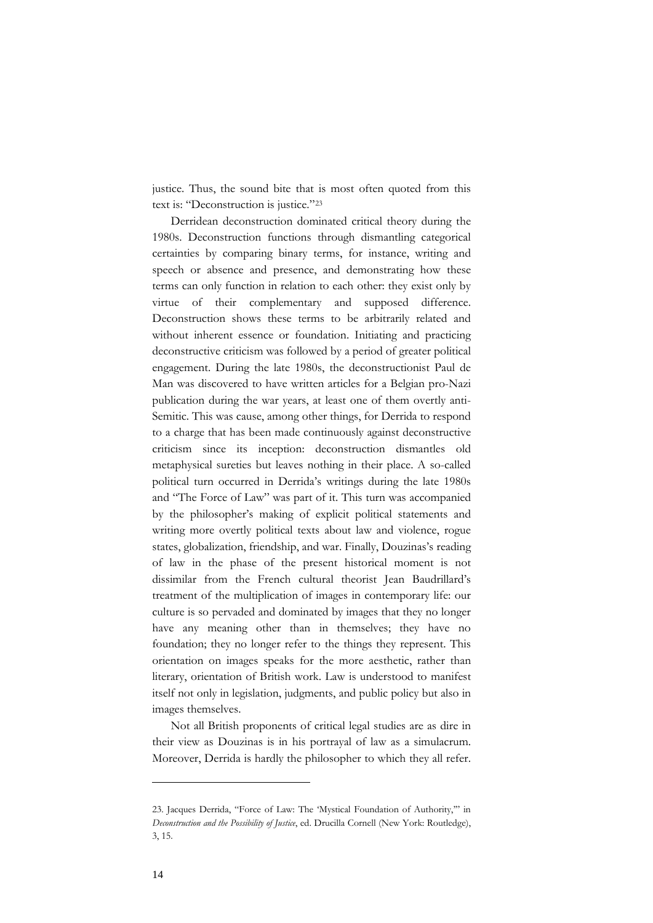justice. Thus, the sound bite that is most often quoted from this text is: "Deconstruction is justice."[23](#page-13-0)

Derridean deconstruction dominated critical theory during the 1980s. Deconstruction functions through dismantling categorical certainties by comparing binary terms, for instance, writing and speech or absence and presence, and demonstrating how these terms can only function in relation to each other: they exist only by virtue of their complementary and supposed difference. Deconstruction shows these terms to be arbitrarily related and without inherent essence or foundation. Initiating and practicing deconstructive criticism was followed by a period of greater political engagement. During the late 1980s, the deconstructionist Paul de Man was discovered to have written articles for a Belgian pro-Nazi publication during the war years, at least one of them overtly anti-Semitic. This was cause, among other things, for Derrida to respond to a charge that has been made continuously against deconstructive criticism since its inception: deconstruction dismantles old metaphysical sureties but leaves nothing in their place. A so-called political turn occurred in Derrida's writings during the late 1980s and "The Force of Law" was part of it. This turn was accompanied by the philosopher's making of explicit political statements and writing more overtly political texts about law and violence, rogue states, globalization, friendship, and war. Finally, Douzinas's reading of law in the phase of the present historical moment is not dissimilar from the French cultural theorist Jean Baudrillard's treatment of the multiplication of images in contemporary life: our culture is so pervaded and dominated by images that they no longer have any meaning other than in themselves; they have no foundation; they no longer refer to the things they represent. This orientation on images speaks for the more aesthetic, rather than literary, orientation of British work. Law is understood to manifest itself not only in legislation, judgments, and public policy but also in images themselves.

Not all British proponents of critical legal studies are as dire in their view as Douzinas is in his portrayal of law as a simulacrum. Moreover, Derrida is hardly the philosopher to which they all refer.

<span id="page-13-0"></span><sup>23.</sup> Jacques Derrida, "Force of Law: The 'Mystical Foundation of Authority," in *Deconstruction and the Possibility of Justice*, ed. Drucilla Cornell (New York: Routledge), 3, 15.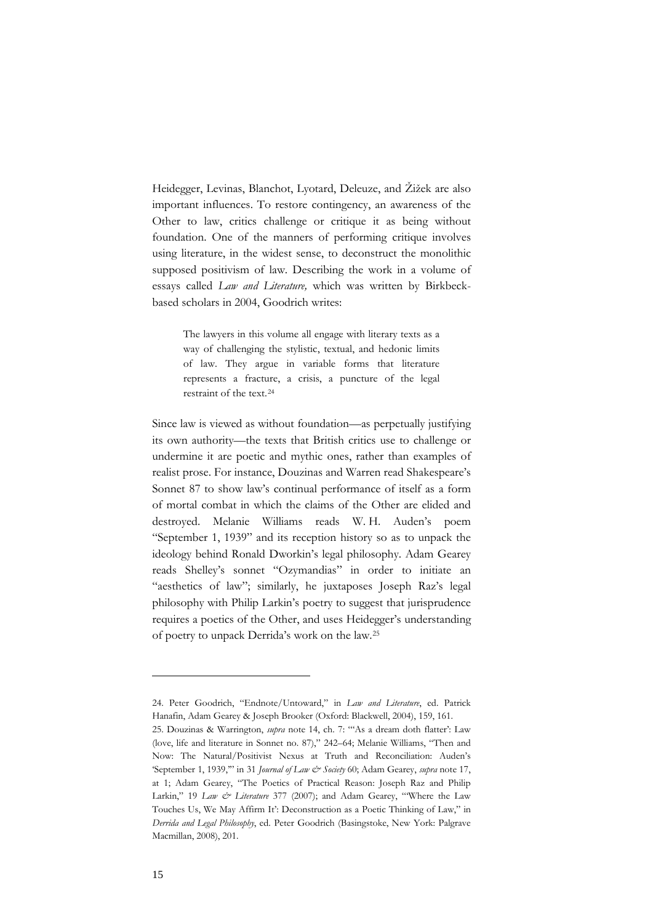Heidegger, Levinas, Blanchot, Lyotard, Deleuze, and Žižek are also important influences. To restore contingency, an awareness of the Other to law, critics challenge or critique it as being without foundation. One of the manners of performing critique involves using literature, in the widest sense, to deconstruct the monolithic supposed positivism of law. Describing the work in a volume of essays called *Law and Literature,* which was written by Birkbeckbased scholars in 2004, Goodrich writes:

The lawyers in this volume all engage with literary texts as a way of challenging the stylistic, textual, and hedonic limits of law. They argue in variable forms that literature represents a fracture, a crisis, a puncture of the legal restraint of the text.[24](#page-14-0)

Since law is viewed as without foundation—as perpetually justifying its own authority—the texts that British critics use to challenge or undermine it are poetic and mythic ones, rather than examples of realist prose. For instance, Douzinas and Warren read Shakespeare's Sonnet 87 to show law's continual performance of itself as a form of mortal combat in which the claims of the Other are elided and destroyed. Melanie Williams reads W. H. Auden's poem "September 1, 1939" and its reception history so as to unpack the ideology behind Ronald Dworkin's legal philosophy. Adam Gearey reads Shelley's sonnet "Ozymandias" in order to initiate an "aesthetics of law"; similarly, he juxtaposes Joseph Raz's legal philosophy with Philip Larkin's poetry to suggest that jurisprudence requires a poetics of the Other, and uses Heidegger's understanding of poetry to unpack Derrida's work on the law.[25](#page-14-1)

<span id="page-14-0"></span><sup>24.</sup> Peter Goodrich, "Endnote/Untoward," in *Law and Literature*, ed. Patrick Hanafin, Adam Gearey & Joseph Brooker (Oxford: Blackwell, 2004), 159, 161.

<span id="page-14-1"></span><sup>25.</sup> Douzinas & Warrington, *supra* note 14, ch. 7: "'As a dream doth flatter': Law (love, life and literature in Sonnet no. 87)," 242–64; Melanie Williams, "Then and Now: The Natural/Positivist Nexus at Truth and Reconciliation: Auden's 'September 1, 1939,'" in 31 *Journal of Law & Society* 60; Adam Gearey, *supra* note 17, at 1; Adam Gearey, "The Poetics of Practical Reason: Joseph Raz and Philip Larkin," 19 *Law & Literature* 377 (2007); and Adam Gearey, "'Where the Law Touches Us, We May Affirm It': Deconstruction as a Poetic Thinking of Law," in *Derrida and Legal Philosophy*, ed. Peter Goodrich (Basingstoke, New York: Palgrave Macmillan, 2008), 201.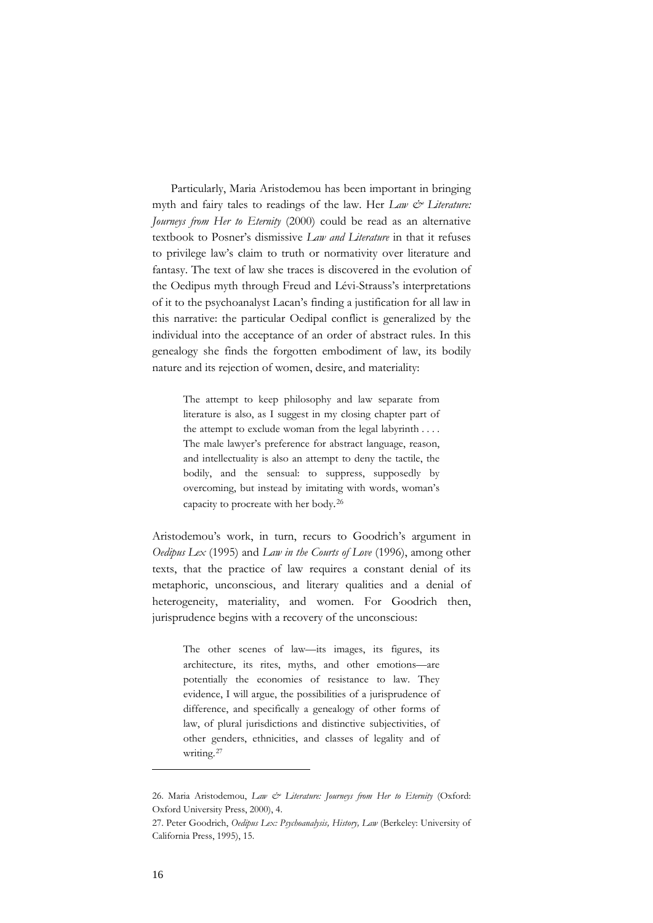Particularly, Maria Aristodemou has been important in bringing myth and fairy tales to readings of the law. Her *Law & Literature*: *Journeys from Her to Eternity* (2000) could be read as an alternative textbook to Posner's dismissive *Law and Literature* in that it refuses to privilege law's claim to truth or normativity over literature and fantasy. The text of law she traces is discovered in the evolution of the Oedipus myth through Freud and Lévi-Strauss's interpretations of it to the psychoanalyst Lacan's finding a justification for all law in this narrative: the particular Oedipal conflict is generalized by the individual into the acceptance of an order of abstract rules. In this genealogy she finds the forgotten embodiment of law, its bodily nature and its rejection of women, desire, and materiality:

The attempt to keep philosophy and law separate from literature is also, as I suggest in my closing chapter part of the attempt to exclude woman from the legal labyrinth . . . . The male lawyer's preference for abstract language, reason, and intellectuality is also an attempt to deny the tactile, the bodily, and the sensual: to suppress, supposedly by overcoming, but instead by imitating with words, woman's capacity to procreate with her body.[26](#page-15-0)

Aristodemou's work, in turn, recurs to Goodrich's argument in *Oedipus Lex* (1995) and *Law in the Courts of Love* (1996), among other texts, that the practice of law requires a constant denial of its metaphoric, unconscious, and literary qualities and a denial of heterogeneity, materiality, and women. For Goodrich then, jurisprudence begins with a recovery of the unconscious:

The other scenes of law—its images, its figures, its architecture, its rites, myths, and other emotions—are potentially the economies of resistance to law. They evidence, I will argue, the possibilities of a jurisprudence of difference, and specifically a genealogy of other forms of law, of plural jurisdictions and distinctive subjectivities, of other genders, ethnicities, and classes of legality and of writing.[27](#page-15-1)

<span id="page-15-0"></span><sup>26.</sup> Maria Aristodemou, *Law & Literature: Journeys from Her to Eternity* (Oxford: Oxford University Press, 2000), 4.

<span id="page-15-1"></span><sup>27.</sup> Peter Goodrich, *Oedipus Lex: Psychoanalysis, History, Law* (Berkeley: University of California Press, 1995), 15.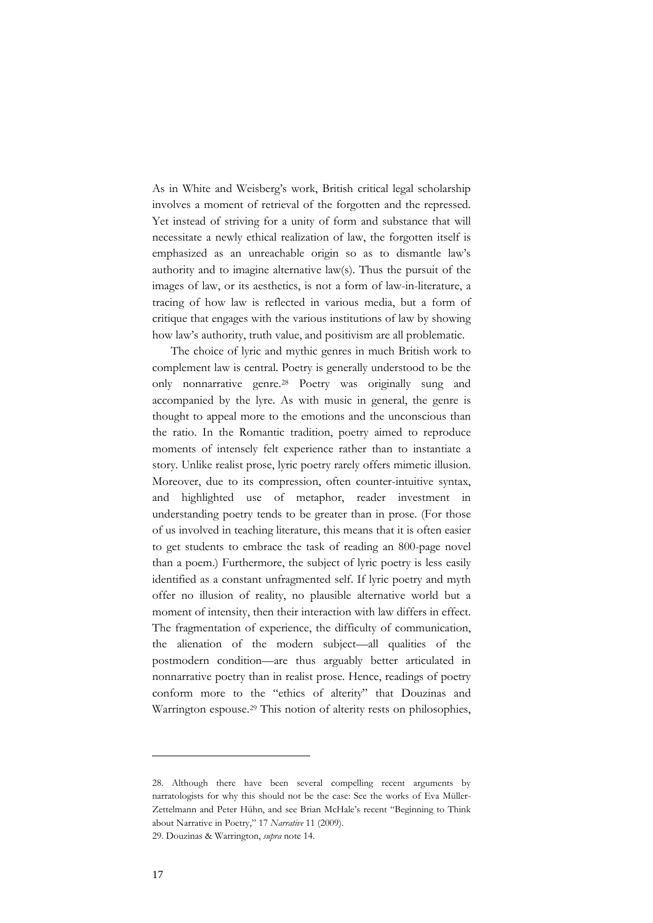As in White and Weisberg's work, British critical legal scholarship involves a moment of retrieval of the forgotten and the repressed. Yet instead of striving for a unity of form and substance that will necessitate a newly ethical realization of law, the forgotten itself is emphasized as an unreachable origin so as to dismantle law's authority and to imagine alternative law(s). Thus the pursuit of the images of law, or its aesthetics, is not a form of law-in-literature, a tracing of how law is reflected in various media, but a form of critique that engages with the various institutions of law by showing how law's authority, truth value, and positivism are all problematic.

The choice of lyric and mythic genres in much British work to complement law is central. Poetry is generally understood to be the only nonnarrative genre.[28](#page-16-0) Poetry was originally sung and accompanied by the lyre. As with music in general, the genre is thought to appeal more to the emotions and the unconscious than the ratio. In the Romantic tradition, poetry aimed to reproduce moments of intensely felt experience rather than to instantiate a story. Unlike realist prose, lyric poetry rarely offers mimetic illusion. Moreover, due to its compression, often counter-intuitive syntax, and highlighted use of metaphor, reader investment in understanding poetry tends to be greater than in prose. (For those of us involved in teaching literature, this means that it is often easier to get students to embrace the task of reading an 800-page novel than a poem.) Furthermore, the subject of lyric poetry is less easily identified as a constant unfragmented self. If lyric poetry and myth offer no illusion of reality, no plausible alternative world but a moment of intensity, then their interaction with law differs in effect. The fragmentation of experience, the difficulty of communication, the alienation of the modern subject—all qualities of the postmodern condition—are thus arguably better articulated in nonnarrative poetry than in realist prose. Hence, readings of poetry conform more to the "ethics of alterity" that Douzinas and Warrington espouse.[29](#page-16-1) This notion of alterity rests on philosophies,

<span id="page-16-0"></span><sup>28.</sup> Although there have been several compelling recent arguments by narratologists for why this should not be the case: See the works of Eva Müller-Zettelmann and Peter Hühn, and see Brian McHale's recent "Beginning to Think about Narrative in Poetry," 17 *Narrative* 11 (2009).

<span id="page-16-1"></span><sup>29.</sup> Douzinas & Warrington, *supra* note 14.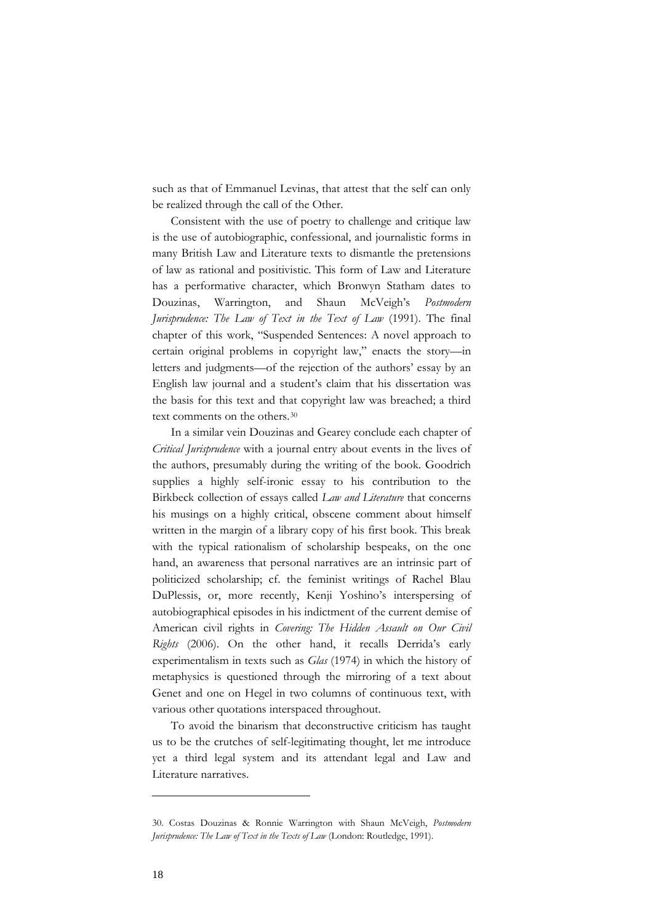such as that of Emmanuel Levinas, that attest that the self can only be realized through the call of the Other.

Consistent with the use of poetry to challenge and critique law is the use of autobiographic, confessional, and journalistic forms in many British Law and Literature texts to dismantle the pretensions of law as rational and positivistic. This form of Law and Literature has a performative character, which Bronwyn Statham dates to Douzinas, Warrington, and Shaun McVeigh's *Postmodern Jurisprudence: The Law of Text in the Text of Law* (1991). The final chapter of this work, "Suspended Sentences: A novel approach to certain original problems in copyright law," enacts the story—in letters and judgments—of the rejection of the authors' essay by an English law journal and a student's claim that his dissertation was the basis for this text and that copyright law was breached; a third text comments on the others.[30](#page-17-0)

In a similar vein Douzinas and Gearey conclude each chapter of *Critical Jurisprudence* with a journal entry about events in the lives of the authors, presumably during the writing of the book. Goodrich supplies a highly self-ironic essay to his contribution to the Birkbeck collection of essays called *Law and Literature* that concerns his musings on a highly critical, obscene comment about himself written in the margin of a library copy of his first book. This break with the typical rationalism of scholarship bespeaks, on the one hand, an awareness that personal narratives are an intrinsic part of politicized scholarship; cf. the feminist writings of Rachel Blau DuPlessis, or, more recently, Kenji Yoshino's interspersing of autobiographical episodes in his indictment of the current demise of American civil rights in *Covering: The Hidden Assault on Our Civil Rights* (2006). On the other hand, it recalls Derrida's early experimentalism in texts such as *Glas* (1974) in which the history of metaphysics is questioned through the mirroring of a text about Genet and one on Hegel in two columns of continuous text, with various other quotations interspaced throughout.

To avoid the binarism that deconstructive criticism has taught us to be the crutches of self-legitimating thought, let me introduce yet a third legal system and its attendant legal and Law and Literature narratives.

<span id="page-17-0"></span><sup>30.</sup> Costas Douzinas & Ronnie Warrington with Shaun McVeigh, *Postmodern Jurisprudence: The Law of Text in the Texts of Law* (London: Routledge, 1991).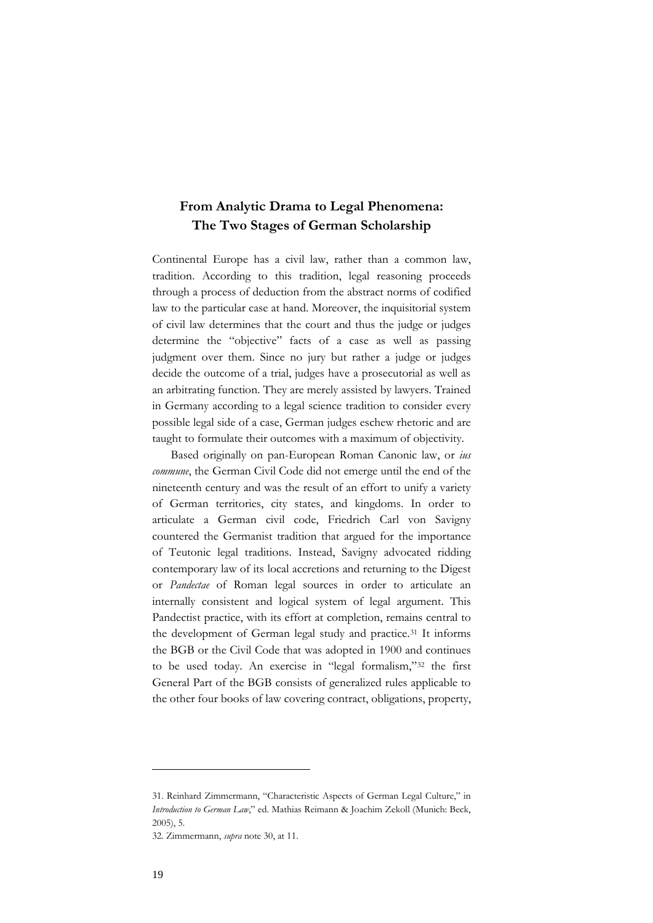### **From Analytic Drama to Legal Phenomena: The Two Stages of German Scholarship**

Continental Europe has a civil law, rather than a common law, tradition. According to this tradition, legal reasoning proceeds through a process of deduction from the abstract norms of codified law to the particular case at hand. Moreover, the inquisitorial system of civil law determines that the court and thus the judge or judges determine the "objective" facts of a case as well as passing judgment over them. Since no jury but rather a judge or judges decide the outcome of a trial, judges have a prosecutorial as well as an arbitrating function. They are merely assisted by lawyers. Trained in Germany according to a legal science tradition to consider every possible legal side of a case, German judges eschew rhetoric and are taught to formulate their outcomes with a maximum of objectivity.

Based originally on pan-European Roman Canonic law, or *ius commune*, the German Civil Code did not emerge until the end of the nineteenth century and was the result of an effort to unify a variety of German territories, city states, and kingdoms. In order to articulate a German civil code, Friedrich Carl von Savigny countered the Germanist tradition that argued for the importance of Teutonic legal traditions. Instead, Savigny advocated ridding contemporary law of its local accretions and returning to the Digest or *Pandectae* of Roman legal sources in order to articulate an internally consistent and logical system of legal argument. This Pandectist practice, with its effort at completion, remains central to the development of German legal study and practice.[31](#page-18-0) It informs the BGB or the Civil Code that was adopted in 1900 and continues to be used today. An exercise in "legal formalism,"[32](#page-18-1) the first General Part of the BGB consists of generalized rules applicable to the other four books of law covering contract, obligations, property,

<span id="page-18-0"></span><sup>31.</sup> Reinhard Zimmermann, "Characteristic Aspects of German Legal Culture," in *Introduction to German Law*," ed. Mathias Reimann & Joachim Zekoll (Munich: Beck, 2005), 5.

<span id="page-18-1"></span><sup>32.</sup> Zimmermann, *supra* note 30, at 11.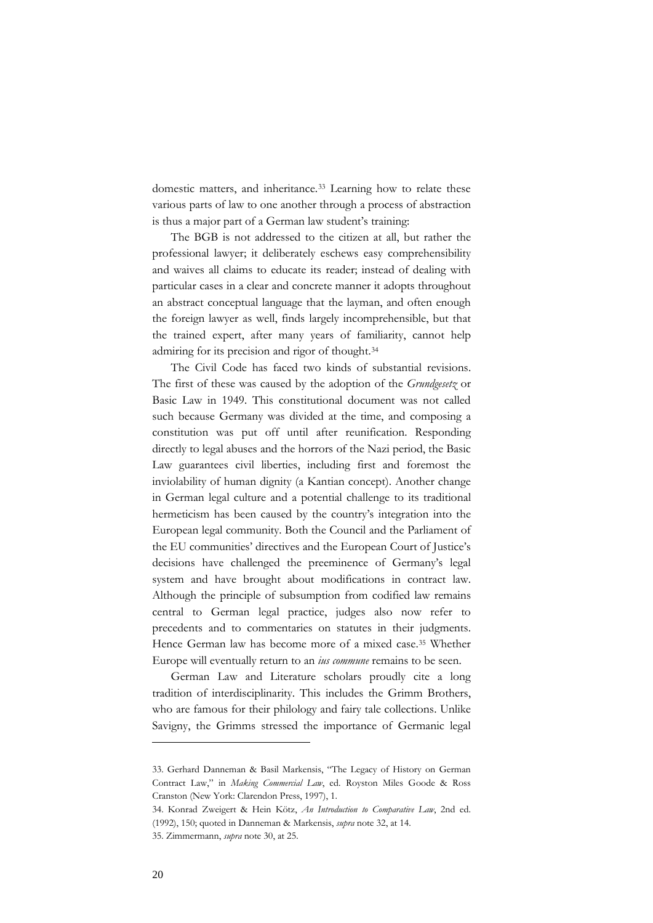domestic matters, and inheritance.[33](#page-19-0) Learning how to relate these various parts of law to one another through a process of abstraction is thus a major part of a German law student's training:

The BGB is not addressed to the citizen at all, but rather the professional lawyer; it deliberately eschews easy comprehensibility and waives all claims to educate its reader; instead of dealing with particular cases in a clear and concrete manner it adopts throughout an abstract conceptual language that the layman, and often enough the foreign lawyer as well, finds largely incomprehensible, but that the trained expert, after many years of familiarity, cannot help admiring for its precision and rigor of thought. [34](#page-19-1)

The Civil Code has faced two kinds of substantial revisions. The first of these was caused by the adoption of the *Grundgesetz* or Basic Law in 1949. This constitutional document was not called such because Germany was divided at the time, and composing a constitution was put off until after reunification. Responding directly to legal abuses and the horrors of the Nazi period, the Basic Law guarantees civil liberties, including first and foremost the inviolability of human dignity (a Kantian concept). Another change in German legal culture and a potential challenge to its traditional hermeticism has been caused by the country's integration into the European legal community. Both the Council and the Parliament of the EU communities' directives and the European Court of Justice's decisions have challenged the preeminence of Germany's legal system and have brought about modifications in contract law. Although the principle of subsumption from codified law remains central to German legal practice, judges also now refer to precedents and to commentaries on statutes in their judgments. Hence German law has become more of a mixed case.[35](#page-19-2) Whether Europe will eventually return to an *ius commune* remains to be seen.

German Law and Literature scholars proudly cite a long tradition of interdisciplinarity. This includes the Grimm Brothers, who are famous for their philology and fairy tale collections. Unlike Savigny, the Grimms stressed the importance of Germanic legal

<span id="page-19-0"></span><sup>33.</sup> Gerhard Danneman & Basil Markensis, "The Legacy of History on German Contract Law," in *Making Commercial Law*, ed. Royston Miles Goode & Ross Cranston (New York: Clarendon Press, 1997), 1.

<span id="page-19-2"></span><span id="page-19-1"></span><sup>34.</sup> Konrad Zweigert & Hein Kötz, *An Introduction to Comparative Law*, 2nd ed. (1992), 150; quoted in Danneman & Markensis, *supra* note 32, at 14. 35. Zimmermann, *supra* note 30, at 25.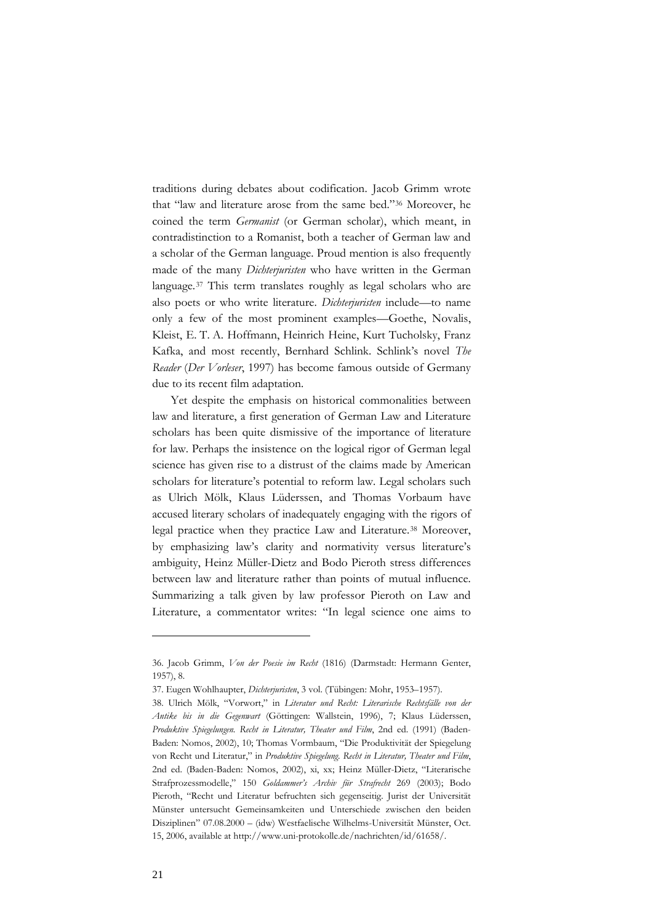traditions during debates about codification. Jacob Grimm wrote that "law and literature arose from the same bed."[36](#page-20-0) Moreover, he coined the term *Germanist* (or German scholar), which meant, in contradistinction to a Romanist, both a teacher of German law and a scholar of the German language. Proud mention is also frequently made of the many *Dichterjuristen* who have written in the German language.[37](#page-20-1) This term translates roughly as legal scholars who are also poets or who write literature. *Dichterjuristen* include—to name only a few of the most prominent examples—Goethe, Novalis, Kleist, E. T. A. Hoffmann, Heinrich Heine, Kurt Tucholsky, Franz Kafka, and most recently, Bernhard Schlink. Schlink's novel *The Reader* (*Der Vorleser*, 1997) has become famous outside of Germany due to its recent film adaptation.

Yet despite the emphasis on historical commonalities between law and literature, a first generation of German Law and Literature scholars has been quite dismissive of the importance of literature for law. Perhaps the insistence on the logical rigor of German legal science has given rise to a distrust of the claims made by American scholars for literature's potential to reform law. Legal scholars such as Ulrich Mölk, Klaus Lüderssen, and Thomas Vorbaum have accused literary scholars of inadequately engaging with the rigors of legal practice when they practice Law and Literature. [38](#page-20-2) Moreover, by emphasizing law's clarity and normativity versus literature's ambiguity, Heinz Müller-Dietz and Bodo Pieroth stress differences between law and literature rather than points of mutual influence. Summarizing a talk given by law professor Pieroth on Law and Literature, a commentator writes: "In legal science one aims to

<span id="page-20-0"></span><sup>36.</sup> Jacob Grimm, *Von der Poesie im Recht* (1816) (Darmstadt: Hermann Genter, 1957), 8.

<sup>37.</sup> Eugen Wohlhaupter, *Dichterjuristen*, 3 vol. (Tübingen: Mohr, 1953–1957).

<span id="page-20-2"></span><span id="page-20-1"></span><sup>38.</sup> Ulrich Mölk, "Vorwort," in *Literatur und Recht: Literarische Rechtsfälle von der Antike bis in die Gegenwart* (Göttingen: Wallstein, 1996), 7; Klaus Lüderssen, *Produktive Spiegelungen. Recht in Literatur, Theater und Film*, 2nd ed. (1991) (Baden-Baden: Nomos, 2002), 10; Thomas Vormbaum, "Die Produktivität der Spiegelung von Recht und Literatur," in *Produktive Spiegelung. Recht in Literatur, Theater und Film*, 2nd ed. (Baden-Baden: Nomos, 2002), xi, xx; Heinz Müller-Dietz, "Literarische Strafprozessmodelle," 150 *Goldammer's Archiv für Strafrecht* 269 (2003); Bodo Pieroth, "Recht und Literatur befruchten sich gegenseitig. Jurist der Universität Münster untersucht Gemeinsamkeiten und Unterschiede zwischen den beiden Disziplinen" 07.08.2000 – (idw) Westfaelische Wilhelms-Universität Münster, Oct. 15, 2006, available at http://www.uni-protokolle.de/nachrichten/id/61658/.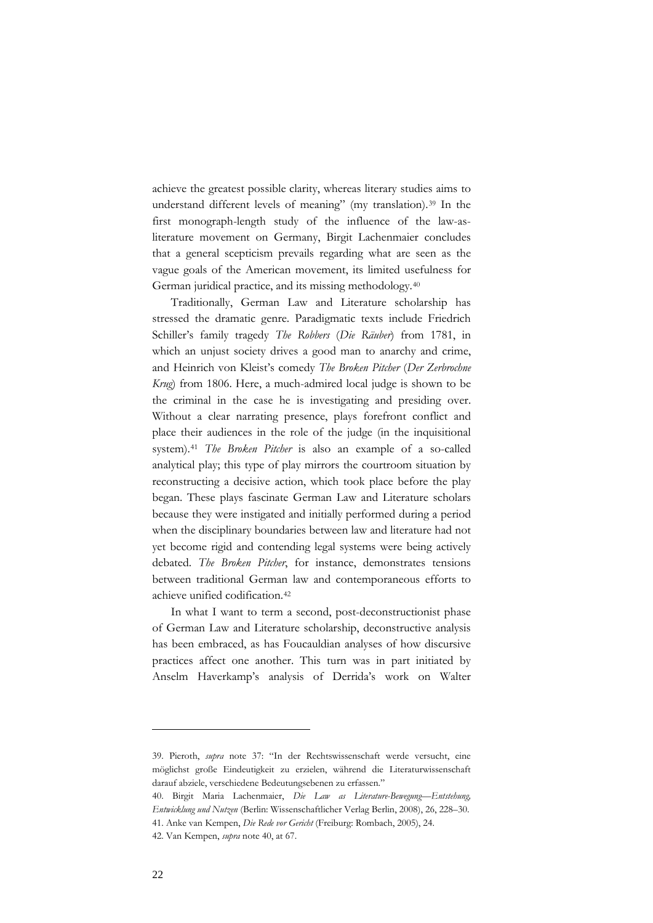achieve the greatest possible clarity, whereas literary studies aims to understand different levels of meaning" (my translation).<sup>[39](#page-21-0)</sup> In the first monograph-length study of the influence of the law-asliterature movement on Germany, Birgit Lachenmaier concludes that a general scepticism prevails regarding what are seen as the vague goals of the American movement, its limited usefulness for German juridical practice, and its missing methodology.[40](#page-21-1)

Traditionally, German Law and Literature scholarship has stressed the dramatic genre. Paradigmatic texts include Friedrich Schiller's family tragedy *The Robbers* (*Die Räuber*) from 1781, in which an unjust society drives a good man to anarchy and crime, and Heinrich von Kleist's comedy *The Broken Pitcher* (*Der Zerbrochne Krug*) from 1806. Here, a much-admired local judge is shown to be the criminal in the case he is investigating and presiding over. Without a clear narrating presence, plays forefront conflict and place their audiences in the role of the judge (in the inquisitional system).[41](#page-21-2) *The Broken Pitcher* is also an example of a so-called analytical play; this type of play mirrors the courtroom situation by reconstructing a decisive action, which took place before the play began. These plays fascinate German Law and Literature scholars because they were instigated and initially performed during a period when the disciplinary boundaries between law and literature had not yet become rigid and contending legal systems were being actively debated. *The Broken Pitcher*, for instance, demonstrates tensions between traditional German law and contemporaneous efforts to achieve unified codification.[42](#page-21-3)

In what I want to term a second, post-deconstructionist phase of German Law and Literature scholarship, deconstructive analysis has been embraced, as has Foucauldian analyses of how discursive practices affect one another. This turn was in part initiated by Anselm Haverkamp's analysis of Derrida's work on Walter

<span id="page-21-0"></span><sup>39.</sup> Pieroth, *supra* note 37: "In der Rechtswissenschaft werde versucht, eine möglichst große Eindeutigkeit zu erzielen, während die Literaturwissenschaft darauf abziele, verschiedene Bedeutungsebenen zu erfassen."

<span id="page-21-1"></span><sup>40.</sup> Birgit Maria Lachenmaier, *Die Law as Literature-Bewegung—Entstehung, Entwicklung und Nutzen* (Berlin: Wissenschaftlicher Verlag Berlin, 2008), 26, 228–30. 41. Anke van Kempen, *Die Rede vor Gericht* (Freiburg: Rombach, 2005), 24.

<span id="page-21-3"></span><span id="page-21-2"></span><sup>42.</sup> Van Kempen, *supra* note 40, at 67.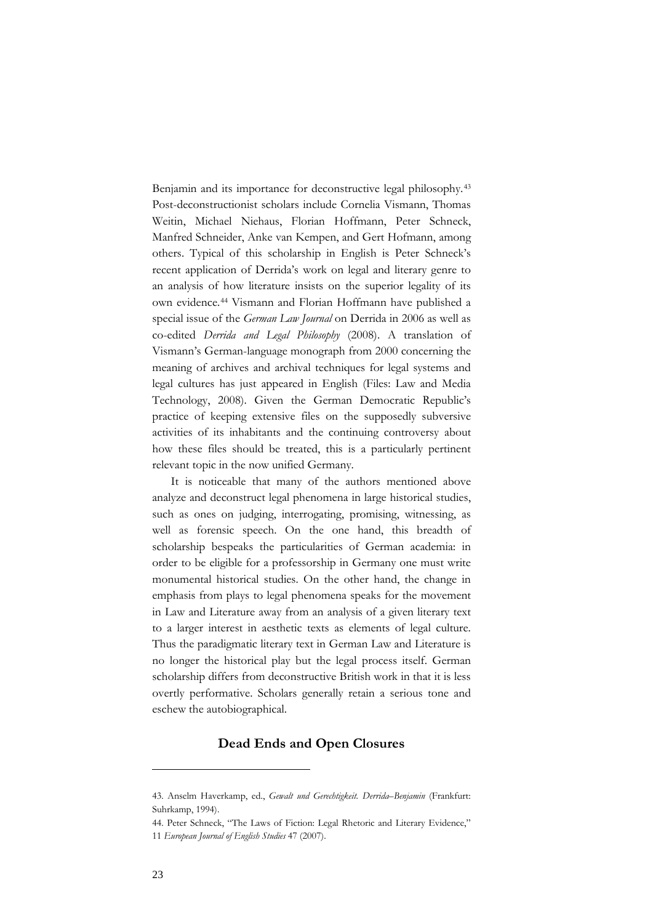Benjamin and its importance for deconstructive legal philosophy.[43](#page-22-0) Post-deconstructionist scholars include Cornelia Vismann, Thomas Weitin, Michael Niehaus, Florian Hoffmann, Peter Schneck, Manfred Schneider, Anke van Kempen, and Gert Hofmann, among others. Typical of this scholarship in English is Peter Schneck's recent application of Derrida's work on legal and literary genre to an analysis of how literature insists on the superior legality of its own evidence.[44](#page-22-1) Vismann and Florian Hoffmann have published a special issue of the *German Law Journal* on Derrida in 2006 as well as co-edited *Derrida and Legal Philosophy* (2008). A translation of Vismann's German-language monograph from 2000 concerning the meaning of archives and archival techniques for legal systems and legal cultures has just appeared in English (Files: Law and Media Technology, 2008). Given the German Democratic Republic's practice of keeping extensive files on the supposedly subversive activities of its inhabitants and the continuing controversy about how these files should be treated, this is a particularly pertinent relevant topic in the now unified Germany.

It is noticeable that many of the authors mentioned above analyze and deconstruct legal phenomena in large historical studies, such as ones on judging, interrogating, promising, witnessing, as well as forensic speech. On the one hand, this breadth of scholarship bespeaks the particularities of German academia: in order to be eligible for a professorship in Germany one must write monumental historical studies. On the other hand, the change in emphasis from plays to legal phenomena speaks for the movement in Law and Literature away from an analysis of a given literary text to a larger interest in aesthetic texts as elements of legal culture. Thus the paradigmatic literary text in German Law and Literature is no longer the historical play but the legal process itself. German scholarship differs from deconstructive British work in that it is less overtly performative. Scholars generally retain a serious tone and eschew the autobiographical.

#### **Dead Ends and Open Closures**

<span id="page-22-0"></span><sup>43.</sup> Anselm Haverkamp, ed., *Gewalt und Gerechtigkeit. Derrida–Benjamin* (Frankfurt: Suhrkamp, 1994).

<span id="page-22-1"></span><sup>44.</sup> Peter Schneck, "The Laws of Fiction: Legal Rhetoric and Literary Evidence," 11 *European Journal of English Studies* 47 (2007).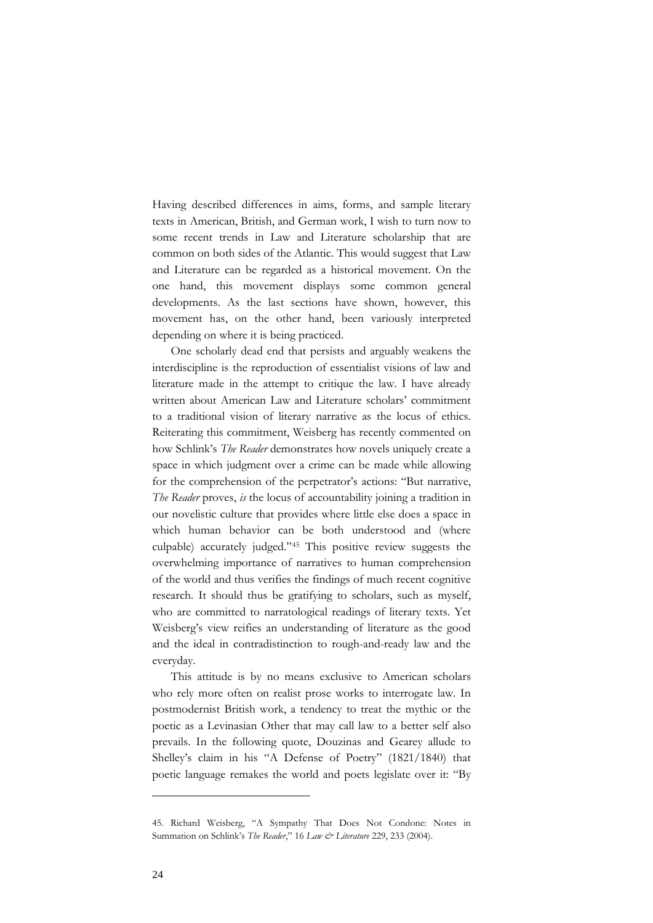Having described differences in aims, forms, and sample literary texts in American, British, and German work, I wish to turn now to some recent trends in Law and Literature scholarship that are common on both sides of the Atlantic. This would suggest that Law and Literature can be regarded as a historical movement. On the one hand, this movement displays some common general developments. As the last sections have shown, however, this movement has, on the other hand, been variously interpreted depending on where it is being practiced.

One scholarly dead end that persists and arguably weakens the interdiscipline is the reproduction of essentialist visions of law and literature made in the attempt to critique the law. I have already written about American Law and Literature scholars' commitment to a traditional vision of literary narrative as the locus of ethics. Reiterating this commitment, Weisberg has recently commented on how Schlink's *The Reader* demonstrates how novels uniquely create a space in which judgment over a crime can be made while allowing for the comprehension of the perpetrator's actions: "But narrative, *The Reader* proves, *is* the locus of accountability joining a tradition in our novelistic culture that provides where little else does a space in which human behavior can be both understood and (where culpable) accurately judged."[45](#page-23-0) This positive review suggests the overwhelming importance of narratives to human comprehension of the world and thus verifies the findings of much recent cognitive research. It should thus be gratifying to scholars, such as myself, who are committed to narratological readings of literary texts. Yet Weisberg's view reifies an understanding of literature as the good and the ideal in contradistinction to rough-and-ready law and the everyday.

This attitude is by no means exclusive to American scholars who rely more often on realist prose works to interrogate law. In postmodernist British work, a tendency to treat the mythic or the poetic as a Levinasian Other that may call law to a better self also prevails. In the following quote, Douzinas and Gearey allude to Shelley's claim in his "A Defense of Poetry" (1821/1840) that poetic language remakes the world and poets legislate over it: "By

<span id="page-23-0"></span><sup>45.</sup> Richard Weisberg, "A Sympathy That Does Not Condone: Notes in Summation on Schlink's *The Reader*," 16 *Law & Literature* 229, 233 (2004).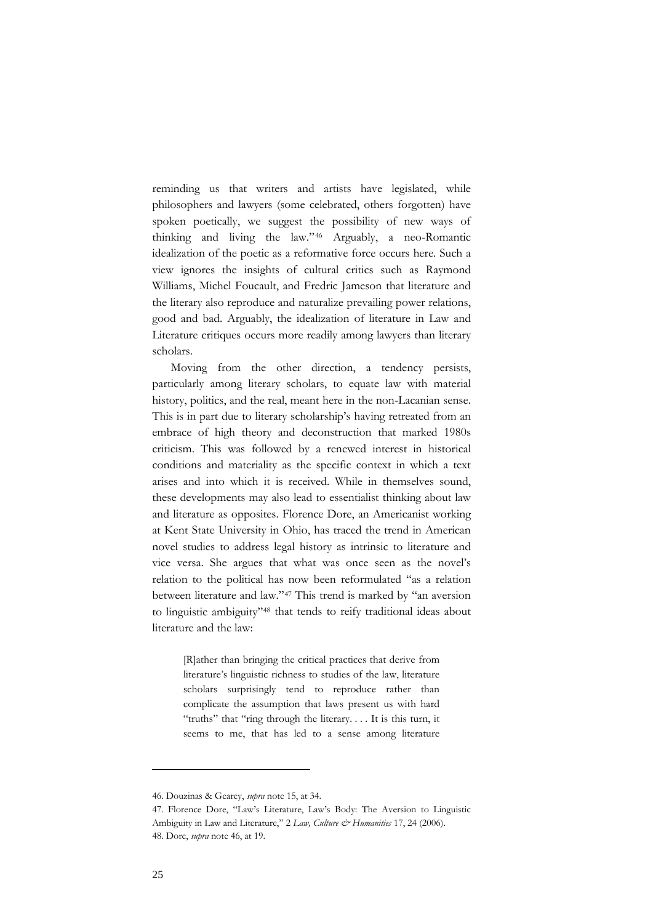reminding us that writers and artists have legislated, while philosophers and lawyers (some celebrated, others forgotten) have spoken poetically, we suggest the possibility of new ways of thinking and living the law."[46](#page-24-0) Arguably, a neo-Romantic idealization of the poetic as a reformative force occurs here. Such a view ignores the insights of cultural critics such as Raymond Williams, Michel Foucault, and Fredric Jameson that literature and the literary also reproduce and naturalize prevailing power relations, good and bad. Arguably, the idealization of literature in Law and Literature critiques occurs more readily among lawyers than literary scholars.

Moving from the other direction, a tendency persists, particularly among literary scholars, to equate law with material history, politics, and the real, meant here in the non-Lacanian sense. This is in part due to literary scholarship's having retreated from an embrace of high theory and deconstruction that marked 1980s criticism. This was followed by a renewed interest in historical conditions and materiality as the specific context in which a text arises and into which it is received. While in themselves sound, these developments may also lead to essentialist thinking about law and literature as opposites. Florence Dore, an Americanist working at Kent State University in Ohio, has traced the trend in American novel studies to address legal history as intrinsic to literature and vice versa. She argues that what was once seen as the novel's relation to the political has now been reformulated "as a relation between literature and law." [47](#page-24-1) This trend is marked by "an aversion to linguistic ambiguity"[48](#page-24-2) that tends to reify traditional ideas about literature and the law:

[R]ather than bringing the critical practices that derive from literature's linguistic richness to studies of the law, literature scholars surprisingly tend to reproduce rather than complicate the assumption that laws present us with hard "truths" that "ring through the literary. . . . It is this turn, it seems to me, that has led to a sense among literature

<span id="page-24-0"></span><sup>46.</sup> Douzinas & Gearey, *supra* note 15, at 34.

<span id="page-24-2"></span><span id="page-24-1"></span><sup>47.</sup> Florence Dore, "Law's Literature, Law's Body: The Aversion to Linguistic Ambiguity in Law and Literature," 2 Law, Culture & Humanities 17, 24 (2006). 48. Dore, *supra* note 46, at 19.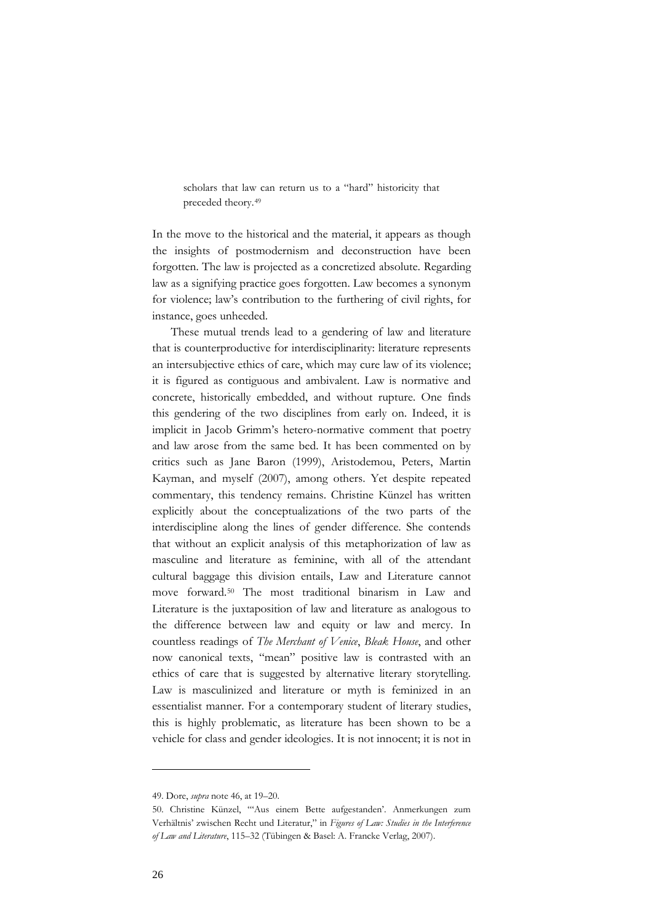scholars that law can return us to a "hard" historicity that preceded theory.[49](#page-25-0)

In the move to the historical and the material, it appears as though the insights of postmodernism and deconstruction have been forgotten. The law is projected as a concretized absolute. Regarding law as a signifying practice goes forgotten. Law becomes a synonym for violence; law's contribution to the furthering of civil rights, for instance, goes unheeded.

These mutual trends lead to a gendering of law and literature that is counterproductive for interdisciplinarity: literature represents an intersubjective ethics of care, which may cure law of its violence; it is figured as contiguous and ambivalent. Law is normative and concrete, historically embedded, and without rupture. One finds this gendering of the two disciplines from early on. Indeed, it is implicit in Jacob Grimm's hetero-normative comment that poetry and law arose from the same bed. It has been commented on by critics such as Jane Baron (1999), Aristodemou, Peters, Martin Kayman, and myself (2007), among others. Yet despite repeated commentary, this tendency remains. Christine Künzel has written explicitly about the conceptualizations of the two parts of the interdiscipline along the lines of gender difference. She contends that without an explicit analysis of this metaphorization of law as masculine and literature as feminine, with all of the attendant cultural baggage this division entails, Law and Literature cannot move forward.[50](#page-25-1) The most traditional binarism in Law and Literature is the juxtaposition of law and literature as analogous to the difference between law and equity or law and mercy. In countless readings of *The Merchant of Venice*, *Bleak House*, and other now canonical texts, "mean" positive law is contrasted with an ethics of care that is suggested by alternative literary storytelling. Law is masculinized and literature or myth is feminized in an essentialist manner. For a contemporary student of literary studies, this is highly problematic, as literature has been shown to be a vehicle for class and gender ideologies. It is not innocent; it is not in

<span id="page-25-0"></span><sup>49.</sup> Dore, *supra* note 46, at 19–20.

<span id="page-25-1"></span><sup>50.</sup> Christine Künzel, "'Aus einem Bette aufgestanden'. Anmerkungen zum Verhältnis' zwischen Recht und Literatur," in *Figures of Law: Studies in the Interference of Law and Literature*, 115–32 (Tübingen & Basel: A. Francke Verlag, 2007).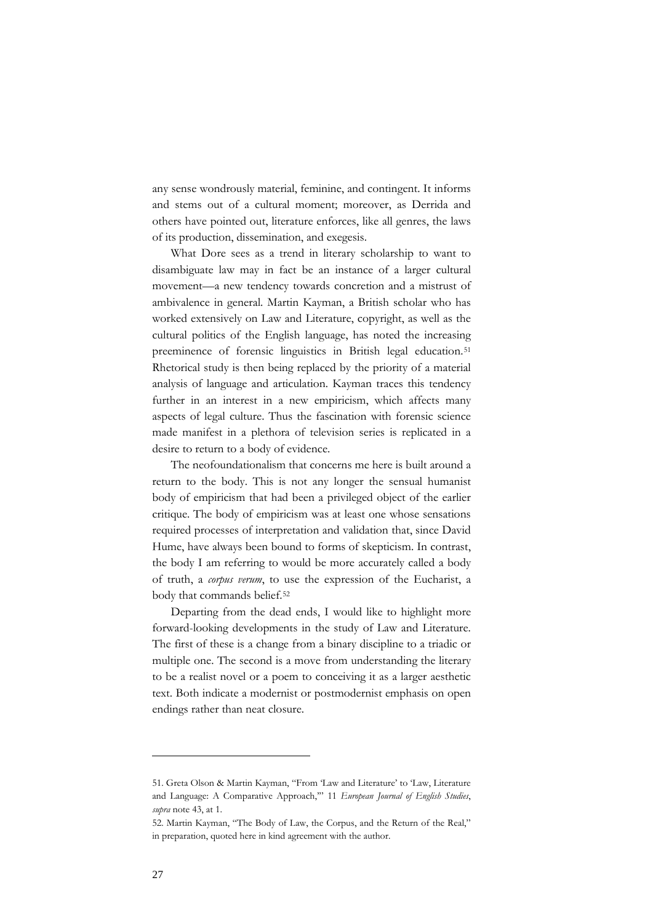any sense wondrously material, feminine, and contingent. It informs and stems out of a cultural moment; moreover, as Derrida and others have pointed out, literature enforces, like all genres, the laws of its production, dissemination, and exegesis.

What Dore sees as a trend in literary scholarship to want to disambiguate law may in fact be an instance of a larger cultural movement—a new tendency towards concretion and a mistrust of ambivalence in general. Martin Kayman, a British scholar who has worked extensively on Law and Literature, copyright, as well as the cultural politics of the English language, has noted the increasing preeminence of forensic linguistics in British legal education.<sup>[51](#page-26-0)</sup> Rhetorical study is then being replaced by the priority of a material analysis of language and articulation. Kayman traces this tendency further in an interest in a new empiricism, which affects many aspects of legal culture. Thus the fascination with forensic science made manifest in a plethora of television series is replicated in a desire to return to a body of evidence.

The neofoundationalism that concerns me here is built around a return to the body. This is not any longer the sensual humanist body of empiricism that had been a privileged object of the earlier critique. The body of empiricism was at least one whose sensations required processes of interpretation and validation that, since David Hume, have always been bound to forms of skepticism. In contrast, the body I am referring to would be more accurately called a body of truth, a *corpus verum*, to use the expression of the Eucharist, a body that commands belief. [52](#page-26-1)

Departing from the dead ends, I would like to highlight more forward-looking developments in the study of Law and Literature. The first of these is a change from a binary discipline to a triadic or multiple one. The second is a move from understanding the literary to be a realist novel or a poem to conceiving it as a larger aesthetic text. Both indicate a modernist or postmodernist emphasis on open endings rather than neat closure.

<span id="page-26-0"></span><sup>51.</sup> Greta Olson & Martin Kayman, "From 'Law and Literature' to 'Law, Literature and Language: A Comparative Approach,'" 11 *European Journal of English Studies*, *supra* note 43, at 1.

<span id="page-26-1"></span><sup>52.</sup> Martin Kayman, "The Body of Law, the Corpus, and the Return of the Real," in preparation, quoted here in kind agreement with the author.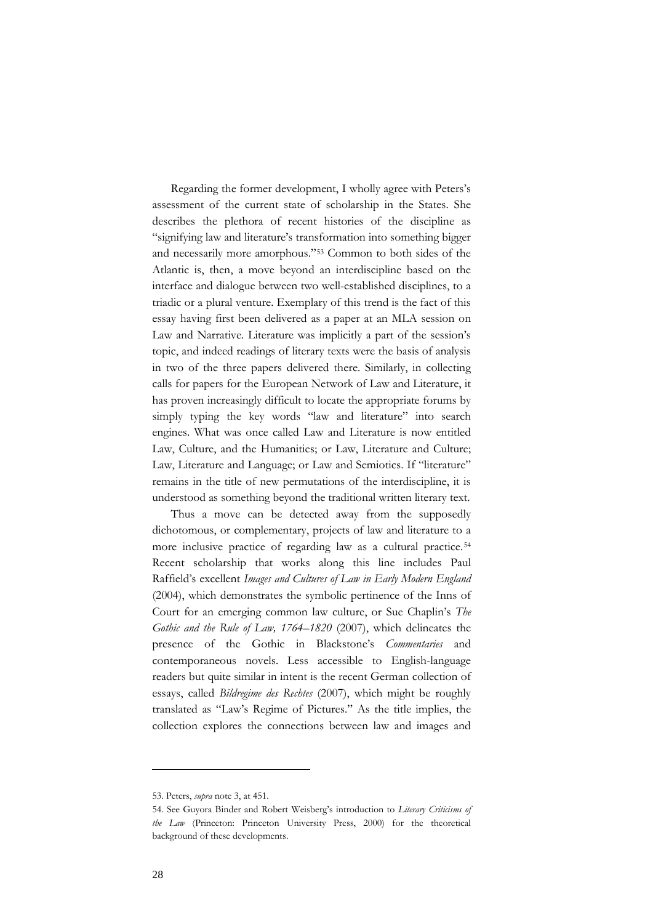Regarding the former development, I wholly agree with Peters's assessment of the current state of scholarship in the States. She describes the plethora of recent histories of the discipline as "signifying law and literature's transformation into something bigger and necessarily more amorphous."[53](#page-27-0) Common to both sides of the Atlantic is, then, a move beyond an interdiscipline based on the interface and dialogue between two well-established disciplines, to a triadic or a plural venture. Exemplary of this trend is the fact of this essay having first been delivered as a paper at an MLA session on Law and Narrative. Literature was implicitly a part of the session's topic, and indeed readings of literary texts were the basis of analysis in two of the three papers delivered there. Similarly, in collecting calls for papers for the European Network of Law and Literature, it has proven increasingly difficult to locate the appropriate forums by simply typing the key words "law and literature" into search engines. What was once called Law and Literature is now entitled Law, Culture, and the Humanities; or Law, Literature and Culture; Law, Literature and Language; or Law and Semiotics. If "literature" remains in the title of new permutations of the interdiscipline, it is understood as something beyond the traditional written literary text.

Thus a move can be detected away from the supposedly dichotomous, or complementary, projects of law and literature to a more inclusive practice of regarding law as a cultural practice. [54](#page-27-1) Recent scholarship that works along this line includes Paul Raffield's excellent *Images and Cultures of Law in Early Modern England* (2004), which demonstrates the symbolic pertinence of the Inns of Court for an emerging common law culture, or Sue Chaplin's *The Gothic and the Rule of Law, 1764–1820* (2007), which delineates the presence of the Gothic in Blackstone's *Commentaries* and contemporaneous novels. Less accessible to English-language readers but quite similar in intent is the recent German collection of essays, called *Bildregime des Rechtes* (2007), which might be roughly translated as "Law's Regime of Pictures." As the title implies, the collection explores the connections between law and images and

<span id="page-27-0"></span><sup>53.</sup> Peters, *supra* note 3, at 451.

<span id="page-27-1"></span><sup>54.</sup> See Guyora Binder and Robert Weisberg's introduction to *Literary Criticisms of the Law* (Princeton: Princeton University Press, 2000) for the theoretical background of these developments.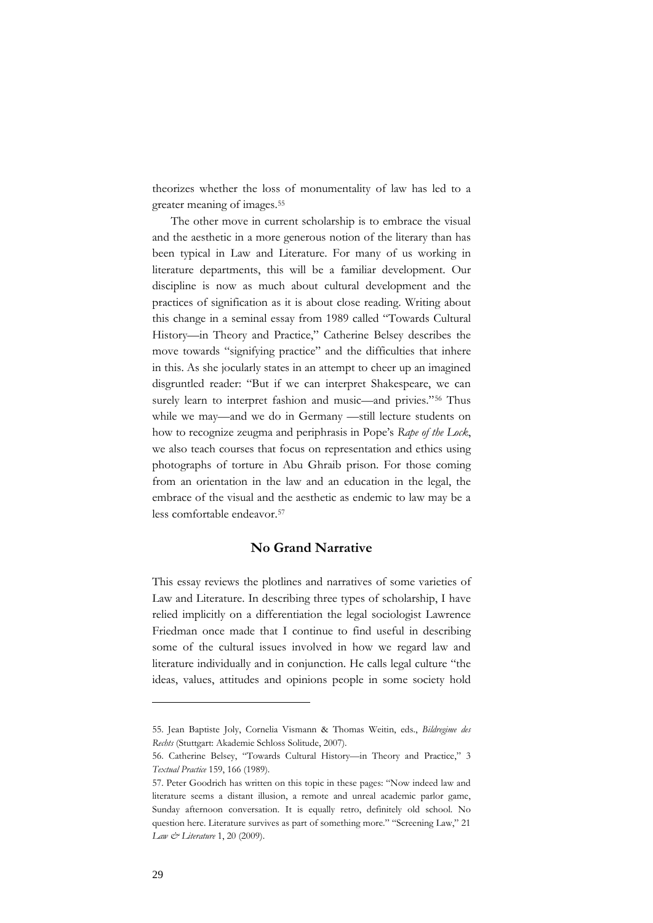theorizes whether the loss of monumentality of law has led to a greater meaning of images[.55](#page-28-0)

The other move in current scholarship is to embrace the visual and the aesthetic in a more generous notion of the literary than has been typical in Law and Literature. For many of us working in literature departments, this will be a familiar development. Our discipline is now as much about cultural development and the practices of signification as it is about close reading. Writing about this change in a seminal essay from 1989 called "Towards Cultural History—in Theory and Practice," Catherine Belsey describes the move towards "signifying practice" and the difficulties that inhere in this. As she jocularly states in an attempt to cheer up an imagined disgruntled reader: "But if we can interpret Shakespeare, we can surely learn to interpret fashion and music—and privies."<sup>56</sup> Thus while we may—and we do in Germany —still lecture students on how to recognize zeugma and periphrasis in Pope's *Rape of the Lock*, we also teach courses that focus on representation and ethics using photographs of torture in Abu Ghraib prison. For those coming from an orientation in the law and an education in the legal, the embrace of the visual and the aesthetic as endemic to law may be a less comfortable endeavor[.57](#page-28-2)

#### **No Grand Narrative**

This essay reviews the plotlines and narratives of some varieties of Law and Literature. In describing three types of scholarship, I have relied implicitly on a differentiation the legal sociologist Lawrence Friedman once made that I continue to find useful in describing some of the cultural issues involved in how we regard law and literature individually and in conjunction. He calls legal culture "the ideas, values, attitudes and opinions people in some society hold

<span id="page-28-0"></span><sup>55.</sup> Jean Baptiste Joly, Cornelia Vismann & Thomas Weitin, eds., *Bildregime des Rechts* (Stuttgart: Akademie Schloss Solitude, 2007).

<span id="page-28-1"></span><sup>56.</sup> Catherine Belsey, "Towards Cultural History—in Theory and Practice," 3 *Textual Practice* 159, 166 (1989).

<span id="page-28-2"></span><sup>57.</sup> Peter Goodrich has written on this topic in these pages: "Now indeed law and literature seems a distant illusion, a remote and unreal academic parlor game, Sunday afternoon conversation. It is equally retro, definitely old school. No question here. Literature survives as part of something more." "Screening Law," 21 *Law & Literature* 1, 20 (2009).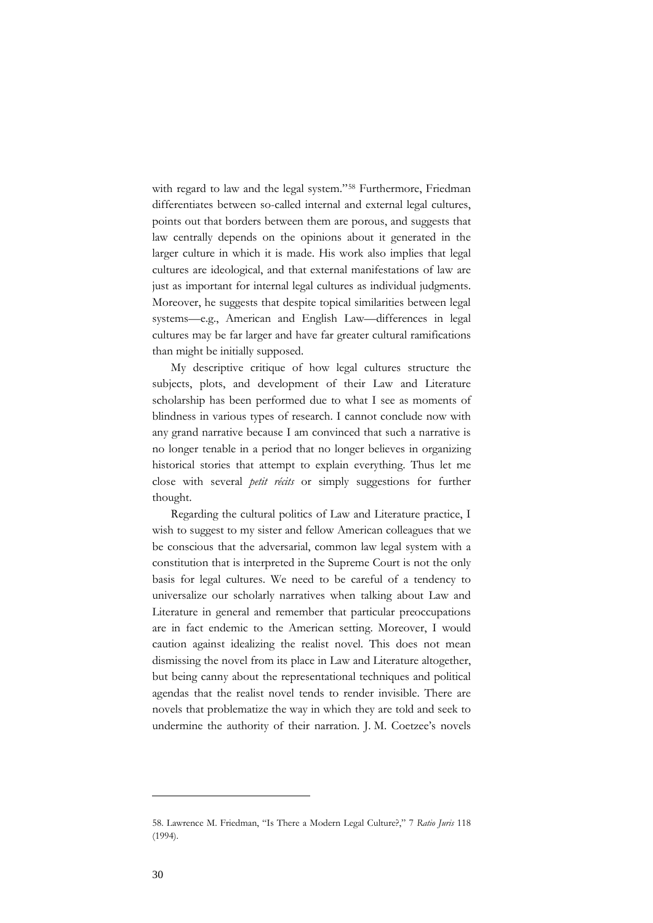with regard to law and the legal system."[58](#page-29-0) Furthermore, Friedman differentiates between so-called internal and external legal cultures, points out that borders between them are porous, and suggests that law centrally depends on the opinions about it generated in the larger culture in which it is made. His work also implies that legal cultures are ideological, and that external manifestations of law are just as important for internal legal cultures as individual judgments. Moreover, he suggests that despite topical similarities between legal systems—e.g., American and English Law—differences in legal cultures may be far larger and have far greater cultural ramifications than might be initially supposed.

My descriptive critique of how legal cultures structure the subjects, plots, and development of their Law and Literature scholarship has been performed due to what I see as moments of blindness in various types of research. I cannot conclude now with any grand narrative because I am convinced that such a narrative is no longer tenable in a period that no longer believes in organizing historical stories that attempt to explain everything. Thus let me close with several *petit récits* or simply suggestions for further thought.

Regarding the cultural politics of Law and Literature practice, I wish to suggest to my sister and fellow American colleagues that we be conscious that the adversarial, common law legal system with a constitution that is interpreted in the Supreme Court is not the only basis for legal cultures. We need to be careful of a tendency to universalize our scholarly narratives when talking about Law and Literature in general and remember that particular preoccupations are in fact endemic to the American setting. Moreover, I would caution against idealizing the realist novel. This does not mean dismissing the novel from its place in Law and Literature altogether, but being canny about the representational techniques and political agendas that the realist novel tends to render invisible. There are novels that problematize the way in which they are told and seek to undermine the authority of their narration. J. M. Coetzee's novels

<span id="page-29-0"></span><sup>58.</sup> Lawrence M. Friedman, "Is There a Modern Legal Culture?," 7 *Ratio Juris* 118 (1994).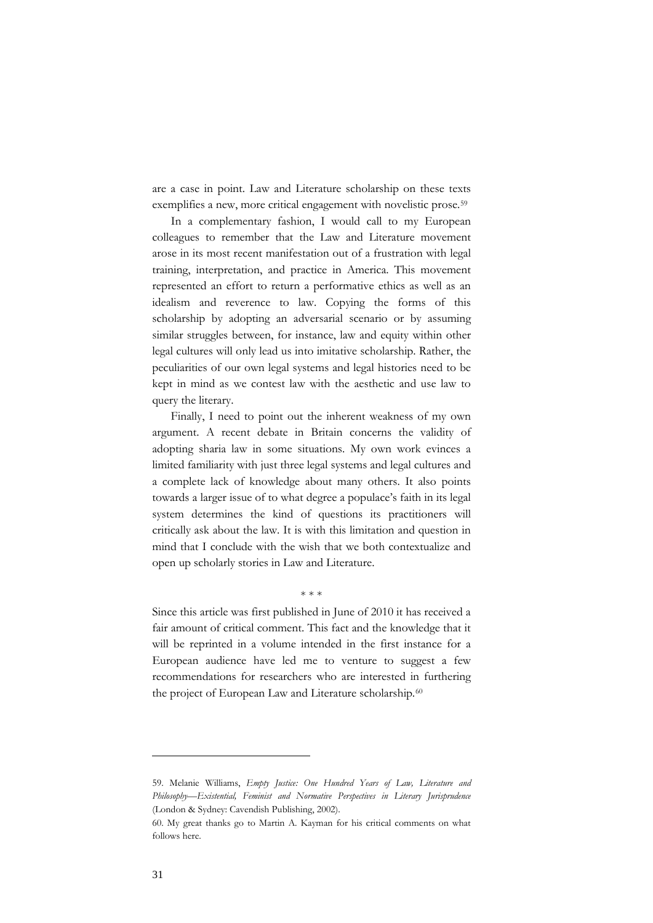are a case in point. Law and Literature scholarship on these texts exemplifies a new, more critical engagement with novelistic prose.<sup>[59](#page-30-0)</sup>

In a complementary fashion, I would call to my European colleagues to remember that the Law and Literature movement arose in its most recent manifestation out of a frustration with legal training, interpretation, and practice in America. This movement represented an effort to return a performative ethics as well as an idealism and reverence to law. Copying the forms of this scholarship by adopting an adversarial scenario or by assuming similar struggles between, for instance, law and equity within other legal cultures will only lead us into imitative scholarship. Rather, the peculiarities of our own legal systems and legal histories need to be kept in mind as we contest law with the aesthetic and use law to query the literary.

Finally, I need to point out the inherent weakness of my own argument. A recent debate in Britain concerns the validity of adopting sharia law in some situations. My own work evinces a limited familiarity with just three legal systems and legal cultures and a complete lack of knowledge about many others. It also points towards a larger issue of to what degree a populace's faith in its legal system determines the kind of questions its practitioners will critically ask about the law. It is with this limitation and question in mind that I conclude with the wish that we both contextualize and open up scholarly stories in Law and Literature.

\* \* \*

Since this article was first published in June of 2010 it has received a fair amount of critical comment. This fact and the knowledge that it will be reprinted in a volume intended in the first instance for a European audience have led me to venture to suggest a few recommendations for researchers who are interested in furthering the project of European Law and Literature scholarship.<sup>[60](#page-30-1)</sup>

<span id="page-30-0"></span><sup>59.</sup> Melanie Williams, *Empty Justice: One Hundred Years of Law, Literature and Philosophy—Existential, Feminist and Normative Perspectives in Literary Jurisprudence* (London & Sydney: Cavendish Publishing, 2002).

<span id="page-30-1"></span><sup>60.</sup> My great thanks go to Martin A. Kayman for his critical comments on what follows here.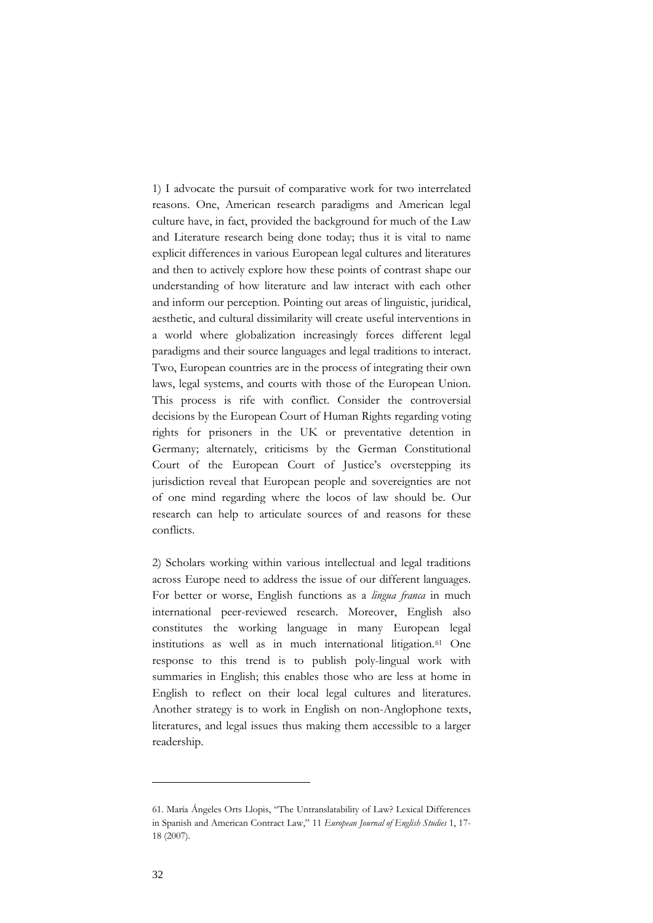1) I advocate the pursuit of comparative work for two interrelated reasons. One, American research paradigms and American legal culture have, in fact, provided the background for much of the Law and Literature research being done today; thus it is vital to name explicit differences in various European legal cultures and literatures and then to actively explore how these points of contrast shape our understanding of how literature and law interact with each other and inform our perception. Pointing out areas of linguistic, juridical, aesthetic, and cultural dissimilarity will create useful interventions in a world where globalization increasingly forces different legal paradigms and their source languages and legal traditions to interact. Two, European countries are in the process of integrating their own laws, legal systems, and courts with those of the European Union. This process is rife with conflict. Consider the controversial decisions by the European Court of Human Rights regarding voting rights for prisoners in the UK or preventative detention in Germany; alternately, criticisms by the German Constitutional Court of the European Court of Justice's overstepping its jurisdiction reveal that European people and sovereignties are not of one mind regarding where the locos of law should be. Our research can help to articulate sources of and reasons for these conflicts.

2) Scholars working within various intellectual and legal traditions across Europe need to address the issue of our different languages. For better or worse, English functions as a *lingua franca* in much international peer-reviewed research. Moreover, English also constitutes the working language in many European legal institutions as well as in much international litigation.[61](#page-31-0) One response to this trend is to publish poly-lingual work with summaries in English; this enables those who are less at home in English to reflect on their local legal cultures and literatures. Another strategy is to work in English on non-Anglophone texts, literatures, and legal issues thus making them accessible to a larger readership.

<span id="page-31-0"></span><sup>61.</sup> María Ángeles Orts Llopis, "The Untranslatability of Law? Lexical Differences in Spanish and American Contract Law," 11 *European Journal of English Studies* 1, 17- 18 (2007).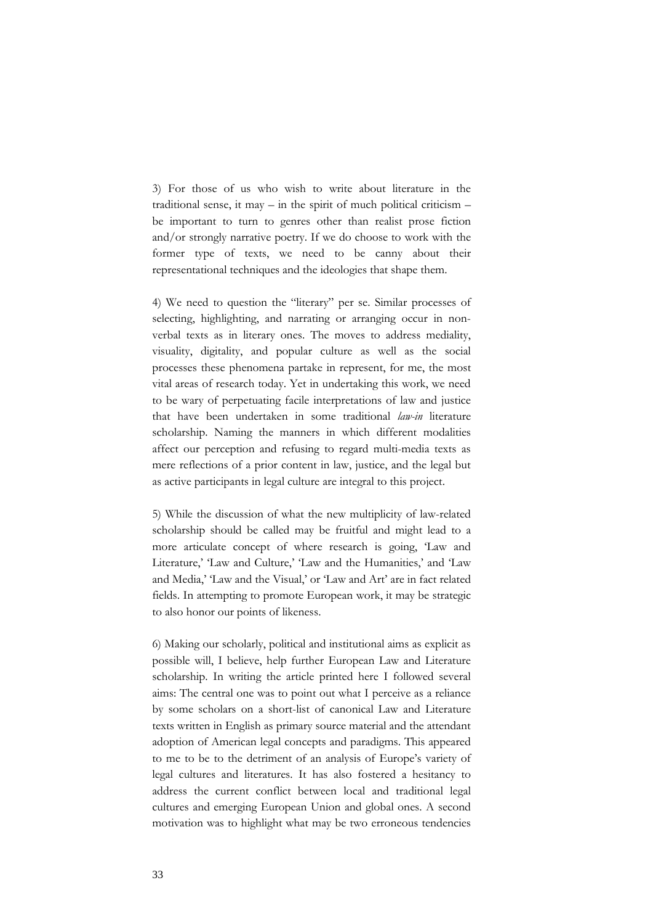3) For those of us who wish to write about literature in the traditional sense, it may – in the spirit of much political criticism – be important to turn to genres other than realist prose fiction and/or strongly narrative poetry. If we do choose to work with the former type of texts, we need to be canny about their representational techniques and the ideologies that shape them.

4) We need to question the "literary" per se. Similar processes of selecting, highlighting, and narrating or arranging occur in nonverbal texts as in literary ones. The moves to address mediality, visuality, digitality, and popular culture as well as the social processes these phenomena partake in represent, for me, the most vital areas of research today. Yet in undertaking this work, we need to be wary of perpetuating facile interpretations of law and justice that have been undertaken in some traditional *law-in* literature scholarship. Naming the manners in which different modalities affect our perception and refusing to regard multi-media texts as mere reflections of a prior content in law, justice, and the legal but as active participants in legal culture are integral to this project.

5) While the discussion of what the new multiplicity of law-related scholarship should be called may be fruitful and might lead to a more articulate concept of where research is going, 'Law and Literature,' 'Law and Culture,' 'Law and the Humanities,' and 'Law and Media,' 'Law and the Visual,' or 'Law and Art' are in fact related fields. In attempting to promote European work, it may be strategic to also honor our points of likeness.

6) Making our scholarly, political and institutional aims as explicit as possible will, I believe, help further European Law and Literature scholarship. In writing the article printed here I followed several aims: The central one was to point out what I perceive as a reliance by some scholars on a short-list of canonical Law and Literature texts written in English as primary source material and the attendant adoption of American legal concepts and paradigms. This appeared to me to be to the detriment of an analysis of Europe's variety of legal cultures and literatures. It has also fostered a hesitancy to address the current conflict between local and traditional legal cultures and emerging European Union and global ones. A second motivation was to highlight what may be two erroneous tendencies